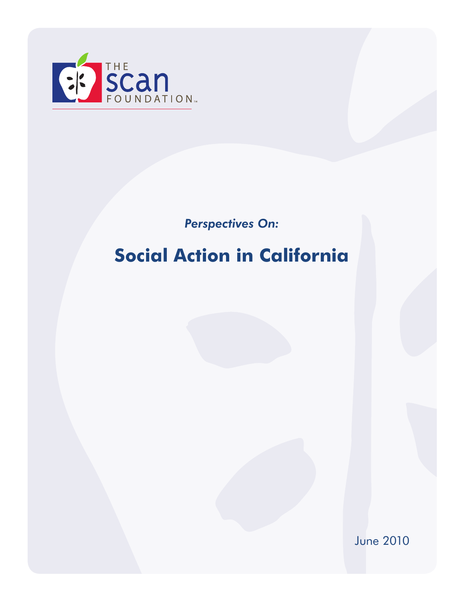

*Perspectives On:*

# **Social Action in California**

June 2010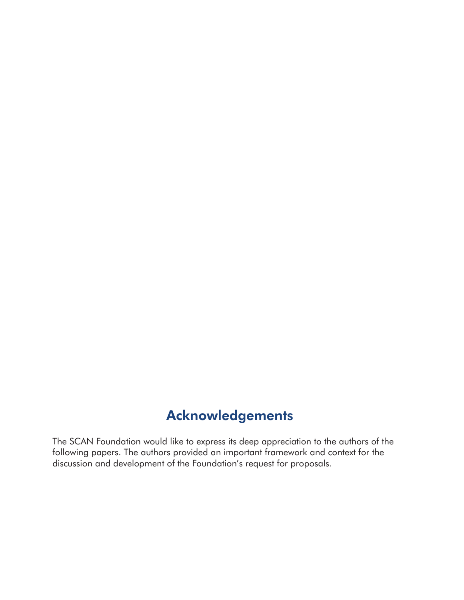## Acknowledgements

The SCAN Foundation would like to express its deep appreciation to the authors of the following papers. The authors provided an important framework and context for the discussion and development of the Foundation's request for proposals.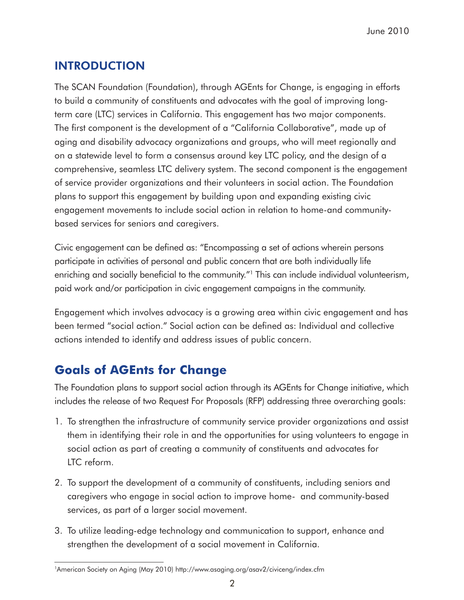## INTRODUCTION

The SCAN Foundation (Foundation), through AGEnts for Change, is engaging in efforts to build a community of constituents and advocates with the goal of improving longterm care (LTC) services in California. This engagement has two major components. The first component is the development of a "California Collaborative", made up of aging and disability advocacy organizations and groups, who will meet regionally and on a statewide level to form a consensus around key LTC policy, and the design of a comprehensive, seamless LTC delivery system. The second component is the engagement of service provider organizations and their volunteers in social action. The Foundation plans to support this engagement by building upon and expanding existing civic engagement movements to include social action in relation to home-and communitybased services for seniors and caregivers.

Civic engagement can be defined as: "Encompassing a set of actions wherein persons participate in activities of personal and public concern that are both individually life enriching and socially beneficial to the community."<sup>1</sup> This can include individual volunteerism, paid work and/or participation in civic engagement campaigns in the community.

Engagement which involves advocacy is a growing area within civic engagement and has been termed "social action." Social action can be defined as: Individual and collective actions intended to identify and address issues of public concern.

## **Goals of AGEnts for Change**

The Foundation plans to support social action through its AGEnts for Change initiative, which includes the release of two Request For Proposals (RFP) addressing three overarching goals:

- 1. To strengthen the infrastructure of community service provider organizations and assist them in identifying their role in and the opportunities for using volunteers to engage in social action as part of creating a community of constituents and advocates for LTC reform.
- 2. To support the development of a community of constituents, including seniors and caregivers who engage in social action to improve home- and community-based services, as part of a larger social movement.
- 3. To utilize leading-edge technology and communication to support, enhance and strengthen the development of a social movement in California.

<sup>1</sup>American Society on Aging (May 2010) http://www.asaging.org/asav2/civiceng/index.cfm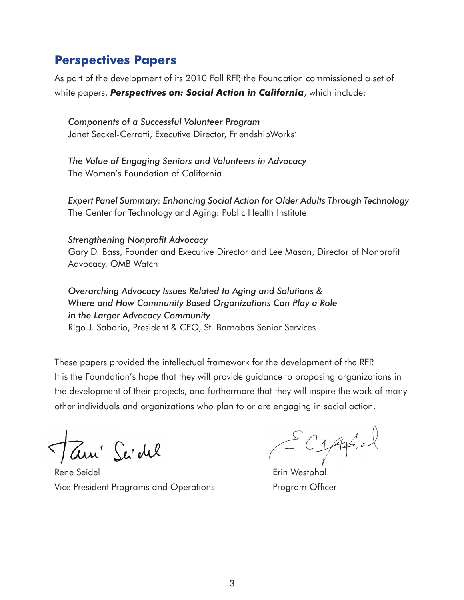### **Perspectives Papers**

As part of the development of its 2010 Fall RFP, the Foundation commissioned a set of white papers, *Perspectives on: Social Action in California*, which include:

*Components of a Successful Volunteer Program* Janet Seckel-Cerrotti, Executive Director, FriendshipWorks'

*The Value of Engaging Seniors and Volunteers in Advocacy* The Women's Foundation of California

*Expert Panel Summary: Enhancing Social Action for Older Adults Through Technology* The Center for Technology and Aging: Public Health Institute

#### *Strengthening Nonprofit Advocacy*

Gary D. Bass, Founder and Executive Director and Lee Mason, Director of Nonprofit Advocacy, OMB Watch

#### *Overarching Advocacy Issues Related to Aging and Solutions & Where and How Community Based Organizations Can Play a Role in the Larger Advocacy Community* Rigo J. Saborio, President & CEO, St. Barnabas Senior Services

These papers provided the intellectual framework for the development of the RFP. It is the Foundation's hope that they will provide guidance to proposing organizations in the development of their projects, and furthermore that they will inspire the work of many other individuals and organizations who plan to or are engaging in social action.

Tam' Sa'del

Rene Seidel **Executed Executes** Erin Westphal Vice President Programs and Operations Program Officer

Cyaplal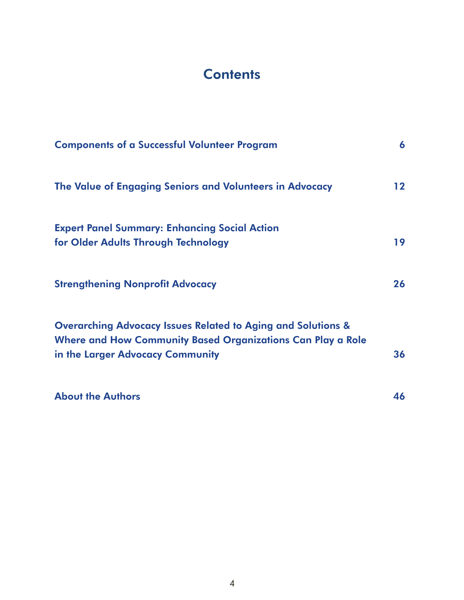## **Contents**

| <b>Components of a Successful Volunteer Program</b>                                                                                                                        |    |
|----------------------------------------------------------------------------------------------------------------------------------------------------------------------------|----|
| The Value of Engaging Seniors and Volunteers in Advocacy                                                                                                                   | 12 |
| <b>Expert Panel Summary: Enhancing Social Action</b><br>for Older Adults Through Technology                                                                                | 19 |
| <b>Strengthening Nonprofit Advocacy</b>                                                                                                                                    | 26 |
| <b>Overarching Advocacy Issues Related to Aging and Solutions &amp;</b><br>Where and How Community Based Organizations Can Play a Role<br>in the Larger Advocacy Community | 36 |
| <b>About the Authors</b>                                                                                                                                                   | 46 |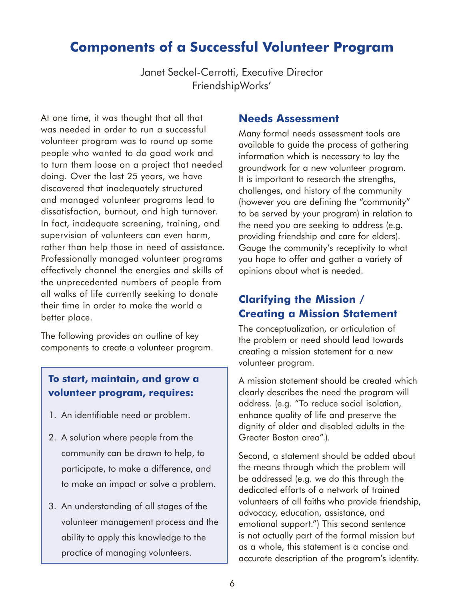## **Components of a Successful Volunteer Program**

Janet Seckel-Cerrotti, Executive Director FriendshipWorks'

At one time, it was thought that all that was needed in order to run a successful volunteer program was to round up some people who wanted to do good work and to turn them loose on a project that needed doing. Over the last 25 years, we have discovered that inadequately structured and managed volunteer programs lead to dissatisfaction, burnout, and high turnover. In fact, inadequate screening, training, and supervision of volunteers can even harm, rather than help those in need of assistance. Professionally managed volunteer programs effectively channel the energies and skills of the unprecedented numbers of people from all walks of life currently seeking to donate their time in order to make the world a better place.

The following provides an outline of key components to create a volunteer program.

#### **To start, maintain, and grow a volunteer program, requires:**

- 1. An identifiable need or problem.
- 2. A solution where people from the community can be drawn to help, to participate, to make a difference, and to make an impact or solve a problem.
- 3. An understanding of all stages of the volunteer management process and the ability to apply this knowledge to the practice of managing volunteers.

#### **Needs Assessment**

Many formal needs assessment tools are available to guide the process of gathering information which is necessary to lay the groundwork for a new volunteer program. It is important to research the strengths, challenges, and history of the community (however you are defining the "community" to be served by your program) in relation to the need you are seeking to address (e.g. providing friendship and care for elders). Gauge the community's receptivity to what you hope to offer and gather a variety of opinions about what is needed.

### **Clarifying the Mission / Creating a Mission Statement**

The conceptualization, or articulation of the problem or need should lead towards creating a mission statement for a new volunteer program.

A mission statement should be created which clearly describes the need the program will address. (e.g. "To reduce social isolation, enhance quality of life and preserve the dignity of older and disabled adults in the Greater Boston area".).

Second, a statement should be added about the means through which the problem will be addressed (e.g. we do this through the dedicated efforts of a network of trained volunteers of all faiths who provide friendship, advocacy, education, assistance, and emotional support.") This second sentence is not actually part of the formal mission but as a whole, this statement is a concise and accurate description of the program's identity.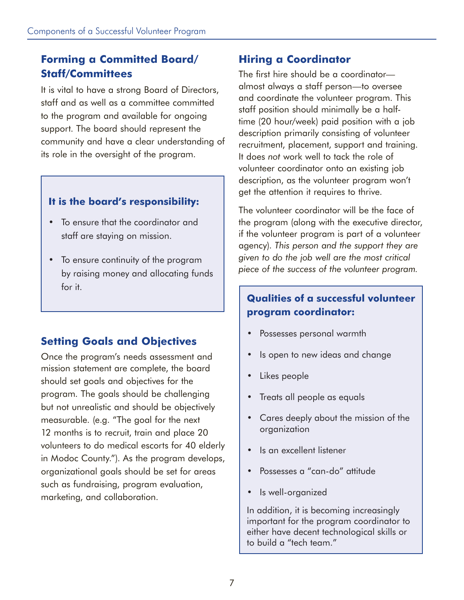### **Forming a Committed Board/ Staff/Committees**

It is vital to have a strong Board of Directors, staff and as well as a committee committed to the program and available for ongoing support. The board should represent the community and have a clear understanding of its role in the oversight of the program.

#### **It is the board's responsibility:**

- To ensure that the coordinator and staff are staying on mission.
- To ensure continuity of the program by raising money and allocating funds for it.

### **Setting Goals and Objectives**

Once the program's needs assessment and mission statement are complete, the board should set goals and objectives for the program. The goals should be challenging but not unrealistic and should be objectively measurable. (e.g. "The goal for the next 12 months is to recruit, train and place 20 volunteers to do medical escorts for 40 elderly in Modoc County."). As the program develops, organizational goals should be set for areas such as fundraising, program evaluation, marketing, and collaboration.

### **Hiring a Coordinator**

The first hire should be a coordinator almost always a staff person—to oversee and coordinate the volunteer program. This staff position should minimally be a halftime (20 hour/week) paid position with a job description primarily consisting of volunteer recruitment, placement, support and training. It does *not* work well to tack the role of volunteer coordinator onto an existing job description, as the volunteer program won't get the attention it requires to thrive.

The volunteer coordinator will be the face of the program (along with the executive director, if the volunteer program is part of a volunteer agency). *This person and the support they are given to do the job well are the most critical piece of the success of the volunteer program.*

#### **Qualities of a successful volunteer program coordinator:**

- Possesses personal warmth
- Is open to new ideas and change
- Likes people
- Treats all people as equals
- Cares deeply about the mission of the organization
- Is an excellent listener
- Possesses a "can-do" attitude
- Is well-organized

In addition, it is becoming increasingly important for the program coordinator to either have decent technological skills or to build a "tech team."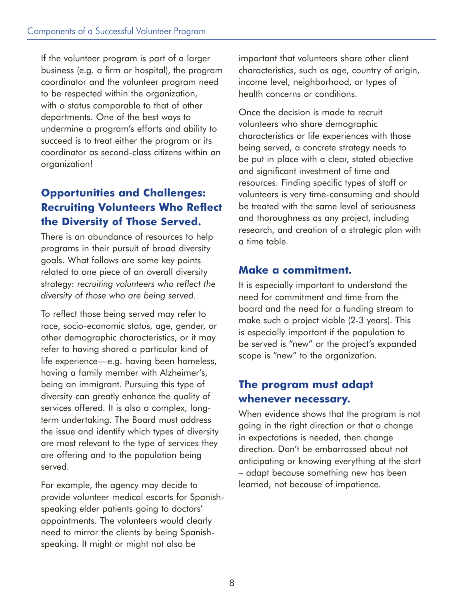If the volunteer program is part of a larger business (e.g. a firm or hospital), the program coordinator and the volunteer program need to be respected within the organization, with a status comparable to that of other departments. One of the best ways to undermine a program's efforts and ability to succeed is to treat either the program or its coordinator as second-class citizens within an organization!

### **Opportunities and Challenges: Recruiting Volunteers Who Reflect the Diversity of Those Served.**

There is an abundance of resources to help programs in their pursuit of broad diversity goals. What follows are some key points related to one piece of an overall diversity strategy: *recruiting volunteers who reflect the diversity of those who are being served.*

To reflect those being served may refer to race, socio-economic status, age, gender, or other demographic characteristics, or it may refer to having shared a particular kind of life experience—e.g. having been homeless, having a family member with Alzheimer's, being an immigrant. Pursuing this type of diversity can greatly enhance the quality of services offered. It is also a complex, longterm undertaking. The Board must address the issue and identify which types of diversity are most relevant to the type of services they are offering and to the population being served.

For example, the agency may decide to provide volunteer medical escorts for Spanishspeaking elder patients going to doctors' appointments. The volunteers would clearly need to mirror the clients by being Spanishspeaking. It might or might not also be

important that volunteers share other client characteristics, such as age, country of origin, income level, neighborhood, or types of health concerns or conditions.

Once the decision is made to recruit volunteers who share demographic characteristics or life experiences with those being served, a concrete strategy needs to be put in place with a clear, stated objective and significant investment of time and resources. Finding specific types of staff or volunteers is very time-consuming and should be treated with the same level of seriousness and thoroughness as any project, including research, and creation of a strategic plan with a time table.

#### **Make a commitment.**

It is especially important to understand the need for commitment and time from the board and the need for a funding stream to make such a project viable (2-3 years). This is especially important if the population to be served is "new" or the project's expanded scope is "new" to the organization.

### **The program must adapt whenever necessary.**

When evidence shows that the program is not going in the right direction or that a change in expectations is needed, then change direction. Don't be embarrassed about not anticipating or knowing everything at the start – adapt because something new has been learned, not because of impatience.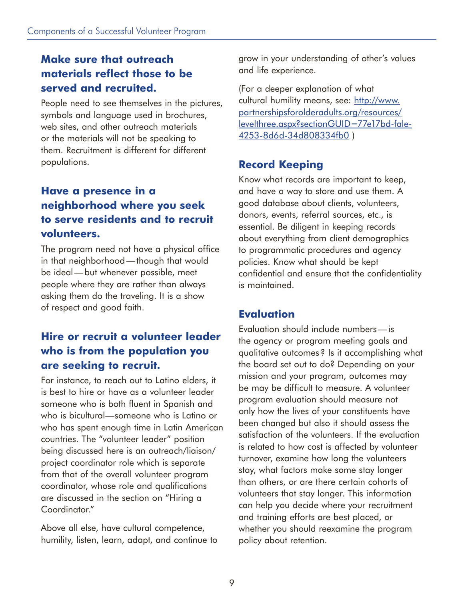### **Make sure that outreach materials reflect those to be served and recruited.**

People need to see themselves in the pictures, symbols and language used in brochures, web sites, and other outreach materials or the materials will not be speaking to them. Recruitment is different for different populations.

### **Have a presence in a neighborhood where you seek to serve residents and to recruit volunteers.**

The program need not have a physical office in that neighborhood—though that would be ideal—but whenever possible, meet people where they are rather than always asking them do the traveling. It is a show of respect and good faith.

### **Hire or recruit a volunteer leader who is from the population you are seeking to recruit.**

For instance, to reach out to Latino elders, it is best to hire or have as a volunteer leader someone who is both fluent in Spanish and who is bicultural—someone who is Latino or who has spent enough time in Latin American countries. The "volunteer leader" position being discussed here is an outreach/liaison/ project coordinator role which is separate from that of the overall volunteer program coordinator, whose role and qualifications are discussed in the section on "Hiring a Coordinator."

Above all else, have cultural competence, humility, listen, learn, adapt, and continue to grow in your understanding of other's values and life experience.

(For a deeper explanation of what cultural humility means, see: http://www. partnershipsforolderadults.org/resources/ levelthree.aspx?sectionGUID=77e17bd-fale-4253-8d6d-34d808334fb0 )

### **Record Keeping**

Know what records are important to keep, and have a way to store and use them. A good database about clients, volunteers, donors, events, referral sources, etc., is essential. Be diligent in keeping records about everything from client demographics to programmatic procedures and agency policies. Know what should be kept confidential and ensure that the confidentiality is maintained.

### **Evaluation**

Evaluation should include numbers—is the agency or program meeting goals and qualitative outcomes? Is it accomplishing what the board set out to do? Depending on your mission and your program, outcomes may be may be difficult to measure. A volunteer program evaluation should measure not only how the lives of your constituents have been changed but also it should assess the satisfaction of the volunteers. If the evaluation is related to how cost is affected by volunteer turnover, examine how long the volunteers stay, what factors make some stay longer than others, or are there certain cohorts of volunteers that stay longer. This information can help you decide where your recruitment and training efforts are best placed, or whether you should reexamine the program policy about retention.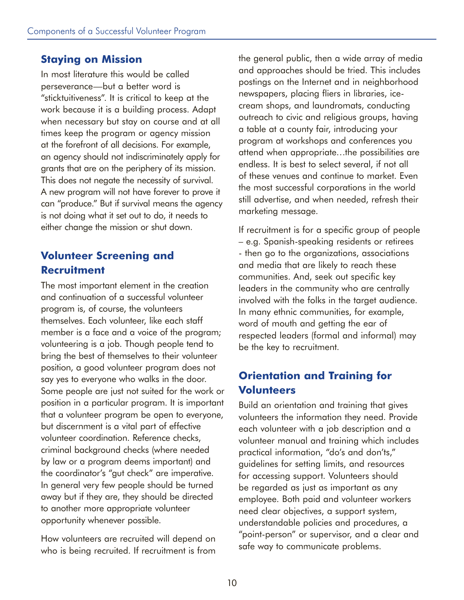#### **Staying on Mission**

In most literature this would be called perseverance—but a better word is "sticktuitiveness". It is critical to keep at the work because it is a building process. Adapt when necessary but stay on course and at all times keep the program or agency mission at the forefront of all decisions. For example, an agency should not indiscriminately apply for grants that are on the periphery of its mission. This does not negate the necessity of survival. A new program will not have forever to prove it can "produce." But if survival means the agency is not doing what it set out to do, it needs to either change the mission or shut down.

### **Volunteer Screening and Recruitment**

The most important element in the creation and continuation of a successful volunteer program is, of course, the volunteers themselves. Each volunteer, like each staff member is a face and a voice of the program; volunteering is a job. Though people tend to bring the best of themselves to their volunteer position, a good volunteer program does not say yes to everyone who walks in the door. Some people are just not suited for the work or position in a particular program. It is important that a volunteer program be open to everyone, but discernment is a vital part of effective volunteer coordination. Reference checks, criminal background checks (where needed by law or a program deems important) and the coordinator's "gut check" are imperative. In general very few people should be turned away but if they are, they should be directed to another more appropriate volunteer opportunity whenever possible.

How volunteers are recruited will depend on who is being recruited. If recruitment is from the general public, then a wide array of media and approaches should be tried. This includes postings on the Internet and in neighborhood newspapers, placing fliers in libraries, icecream shops, and laundromats, conducting outreach to civic and religious groups, having a table at a county fair, introducing your program at workshops and conferences you attend when appropriate…the possibilities are endless. It is best to select several, if not all of these venues and continue to market. Even the most successful corporations in the world still advertise, and when needed, refresh their marketing message.

If recruitment is for a specific group of people – e.g. Spanish-speaking residents or retirees - then go to the organizations, associations and media that are likely to reach these communities. And, seek out specific key leaders in the community who are centrally involved with the folks in the target audience. In many ethnic communities, for example, word of mouth and getting the ear of respected leaders (formal and informal) may be the key to recruitment.

### **Orientation and Training for Volunteers**

Build an orientation and training that gives volunteers the information they need. Provide each volunteer with a job description and a volunteer manual and training which includes practical information, "do's and don'ts," guidelines for setting limits, and resources for accessing support. Volunteers should be regarded as just as important as any employee. Both paid and volunteer workers need clear objectives, a support system, understandable policies and procedures, a "point-person" or supervisor, and a clear and safe way to communicate problems.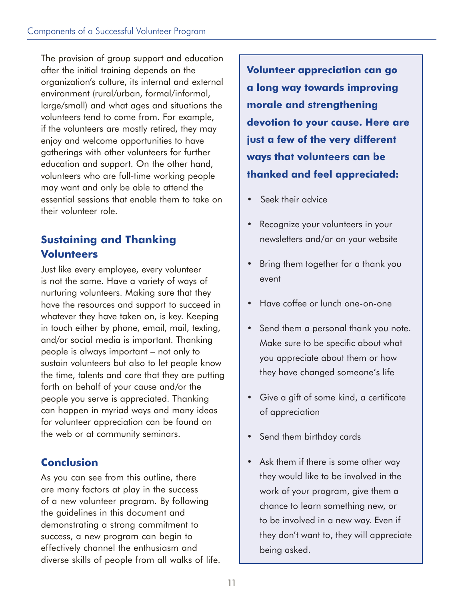The provision of group support and education after the initial training depends on the organization's culture, its internal and external environment (rural/urban, formal/informal, large/small) and what ages and situations the volunteers tend to come from. For example, if the volunteers are mostly retired, they may enjoy and welcome opportunities to have gatherings with other volunteers for further education and support. On the other hand, volunteers who are full-time working people may want and only be able to attend the essential sessions that enable them to take on their volunteer role.

### **Sustaining and Thanking Volunteers**

Just like every employee, every volunteer is not the same. Have a variety of ways of nurturing volunteers. Making sure that they have the resources and support to succeed in whatever they have taken on, is key. Keeping in touch either by phone, email, mail, texting, and/or social media is important. Thanking people is always important – not only to sustain volunteers but also to let people know the time, talents and care that they are putting forth on behalf of your cause and/or the people you serve is appreciated. Thanking can happen in myriad ways and many ideas for volunteer appreciation can be found on the web or at community seminars.

### **Conclusion**

As you can see from this outline, there are many factors at play in the success of a new volunteer program. By following the guidelines in this document and demonstrating a strong commitment to success, a new program can begin to effectively channel the enthusiasm and diverse skills of people from all walks of life.

**Volunteer appreciation can go a long way towards improving morale and strengthening devotion to your cause. Here are just a few of the very different ways that volunteers can be thanked and feel appreciated:**

- Seek their advice
- Recognize your volunteers in your newsletters and/or on your website
- Bring them together for a thank you event
- Have coffee or lunch one-on-one
- Send them a personal thank you note. Make sure to be specific about what you appreciate about them or how they have changed someone's life
- Give a gift of some kind, a certificate of appreciation
- Send them birthday cards
- Ask them if there is some other way they would like to be involved in the work of your program, give them a chance to learn something new, or to be involved in a new way. Even if they don't want to, they will appreciate being asked.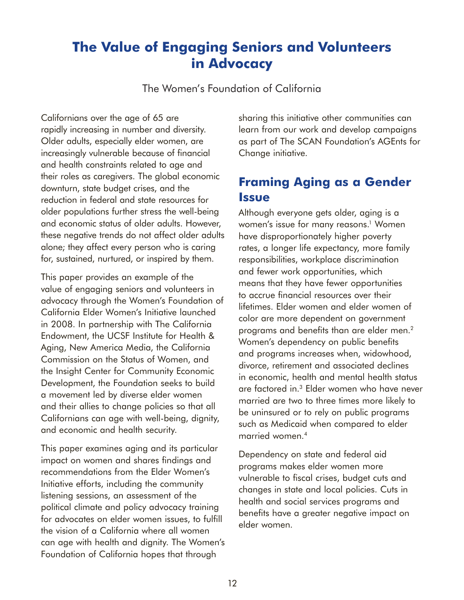## **The Value of Engaging Seniors and Volunteers in Advocacy**

The Women's Foundation of California

Californians over the age of 65 are rapidly increasing in number and diversity. Older adults, especially elder women, are increasingly vulnerable because of financial and health constraints related to age and their roles as caregivers. The global economic downturn, state budget crises, and the reduction in federal and state resources for older populations further stress the well-being and economic status of older adults. However, these negative trends do not affect older adults alone; they affect every person who is caring for, sustained, nurtured, or inspired by them.

This paper provides an example of the value of engaging seniors and volunteers in advocacy through the Women's Foundation of California Elder Women's Initiative launched in 2008. In partnership with The California Endowment, the UCSF Institute for Health & Aging, New America Media, the California Commission on the Status of Women, and the Insight Center for Community Economic Development, the Foundation seeks to build a movement led by diverse elder women and their allies to change policies so that all Californians can age with well-being, dignity, and economic and health security.

This paper examines aging and its particular impact on women and shares findings and recommendations from the Elder Women's Initiative efforts, including the community listening sessions, an assessment of the political climate and policy advocacy training for advocates on elder women issues, to fulfill the vision of a California where all women can age with health and dignity. The Women's Foundation of California hopes that through

sharing this initiative other communities can learn from our work and develop campaigns as part of The SCAN Foundation's AGEnts for Change initiative.

## **Framing Aging as a Gender Issue**

Although everyone gets older, aging is a women's issue for many reasons.<sup>1</sup> Women have disproportionately higher poverty rates, a longer life expectancy, more family responsibilities, workplace discrimination and fewer work opportunities, which means that they have fewer opportunities to accrue financial resources over their lifetimes. Elder women and elder women of color are more dependent on government programs and benefits than are elder men.2 Women's dependency on public benefits and programs increases when, widowhood, divorce, retirement and associated declines in economic, health and mental health status are factored in.3 Elder women who have never married are two to three times more likely to be uninsured or to rely on public programs such as Medicaid when compared to elder married women.4

Dependency on state and federal aid programs makes elder women more vulnerable to fiscal crises, budget cuts and changes in state and local policies. Cuts in health and social services programs and benefits have a greater negative impact on elder women.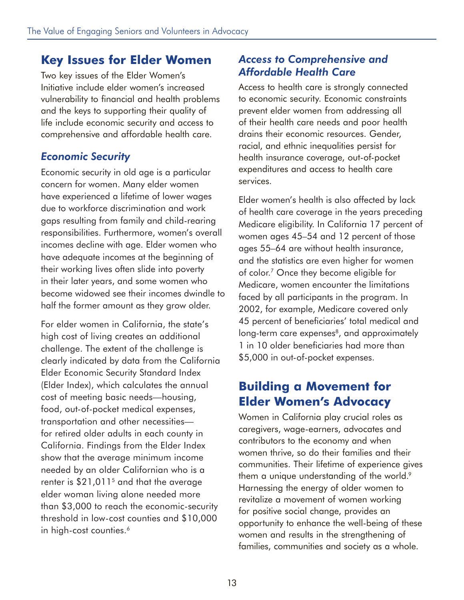### **Key Issues for Elder Women**

Two key issues of the Elder Women's Initiative include elder women's increased vulnerability to financial and health problems and the keys to supporting their quality of life include economic security and access to comprehensive and affordable health care.

### *Economic Security*

Economic security in old age is a particular concern for women. Many elder women have experienced a lifetime of lower wages due to workforce discrimination and work gaps resulting from family and child-rearing responsibilities. Furthermore, women's overall incomes decline with age. Elder women who have adequate incomes at the beginning of their working lives often slide into poverty in their later years, and some women who become widowed see their incomes dwindle to half the former amount as they grow older.

For elder women in California, the state's high cost of living creates an additional challenge. The extent of the challenge is clearly indicated by data from the California Elder Economic Security Standard Index (Elder Index), which calculates the annual cost of meeting basic needs—housing, food, out-of-pocket medical expenses, transportation and other necessities for retired older adults in each county in California. Findings from the Elder Index show that the average minimum income needed by an older Californian who is a renter is  $$21,011<sup>5</sup>$  and that the average elder woman living alone needed more than \$3,000 to reach the economic-security threshold in low-cost counties and \$10,000 in high-cost counties.<sup>6</sup>

#### *Access to Comprehensive and Affordable Health Care*

Access to health care is strongly connected to economic security. Economic constraints prevent elder women from addressing all of their health care needs and poor health drains their economic resources. Gender, racial, and ethnic inequalities persist for health insurance coverage, out-of-pocket expenditures and access to health care services.

Elder women's health is also affected by lack of health care coverage in the years preceding Medicare eligibility. In California 17 percent of women ages 45–54 and 12 percent of those ages 55–64 are without health insurance, and the statistics are even higher for women of color.7 Once they become eligible for Medicare, women encounter the limitations faced by all participants in the program. In 2002, for example, Medicare covered only 45 percent of beneficiaries' total medical and long-term care expenses<sup>8</sup>, and approximately 1 in 10 older beneficiaries had more than \$5,000 in out-of-pocket expenses.

### **Building a Movement for Elder Women's Advocacy**

Women in California play crucial roles as caregivers, wage-earners, advocates and contributors to the economy and when women thrive, so do their families and their communities. Their lifetime of experience gives them a unique understanding of the world.<sup>9</sup> Harnessing the energy of older women to revitalize a movement of women working for positive social change, provides an opportunity to enhance the well-being of these women and results in the strengthening of families, communities and society as a whole.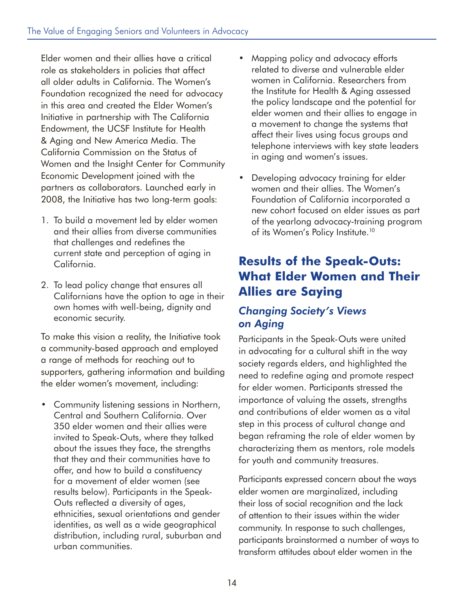Elder women and their allies have a critical role as stakeholders in policies that affect all older adults in California. The Women's Foundation recognized the need for advocacy in this area and created the Elder Women's Initiative in partnership with The California Endowment, the UCSF Institute for Health & Aging and New America Media. The California Commission on the Status of Women and the Insight Center for Community Economic Development joined with the partners as collaborators. Launched early in 2008, the Initiative has two long-term goals:

- 1. To build a movement led by elder women and their allies from diverse communities that challenges and redefines the current state and perception of aging in California.
- 2. To lead policy change that ensures all Californians have the option to age in their own homes with well-being, dignity and economic security.

To make this vision a reality, the Initiative took a community-based approach and employed a range of methods for reaching out to supporters, gathering information and building the elder women's movement, including:

• Community listening sessions in Northern, Central and Southern California. Over 350 elder women and their allies were invited to Speak-Outs, where they talked about the issues they face, the strengths that they and their communities have to offer, and how to build a constituency for a movement of elder women (see results below). Participants in the Speak-Outs reflected a diversity of ages, ethnicities, sexual orientations and gender identities, as well as a wide geographical distribution, including rural, suburban and urban communities.

- Mapping policy and advocacy efforts related to diverse and vulnerable elder women in California. Researchers from the Institute for Health & Aging assessed the policy landscape and the potential for elder women and their allies to engage in a movement to change the systems that affect their lives using focus groups and telephone interviews with key state leaders in aging and women's issues.
- Developing advocacy training for elder women and their allies. The Women's Foundation of California incorporated a new cohort focused on elder issues as part of the yearlong advocacy-training program of its Women's Policy Institute.<sup>10</sup>

## **Results of the Speak-Outs: What Elder Women and Their Allies are Saying**

### *Changing Society's Views on Aging*

Participants in the Speak-Outs were united in advocating for a cultural shift in the way society regards elders, and highlighted the need to redefine aging and promote respect for elder women. Participants stressed the importance of valuing the assets, strengths and contributions of elder women as a vital step in this process of cultural change and began reframing the role of elder women by characterizing them as mentors, role models for youth and community treasures.

Participants expressed concern about the ways elder women are marginalized, including their loss of social recognition and the lack of attention to their issues within the wider community. In response to such challenges, participants brainstormed a number of ways to transform attitudes about elder women in the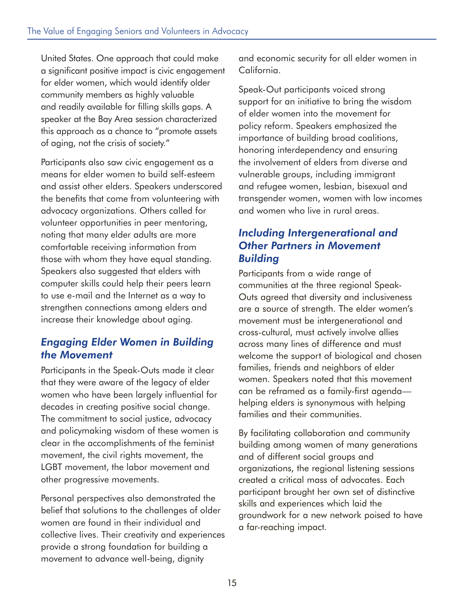United States. One approach that could make a significant positive impact is civic engagement for elder women, which would identify older community members as highly valuable and readily available for filling skills gaps. A speaker at the Bay Area session characterized this approach as a chance to "promote assets of aging, not the crisis of society."

Participants also saw civic engagement as a means for elder women to build self-esteem and assist other elders. Speakers underscored the benefits that come from volunteering with advocacy organizations. Others called for volunteer opportunities in peer mentoring, noting that many elder adults are more comfortable receiving information from those with whom they have equal standing. Speakers also suggested that elders with computer skills could help their peers learn to use e-mail and the Internet as a way to strengthen connections among elders and increase their knowledge about aging.

### *Engaging Elder Women in Building the Movement*

Participants in the Speak-Outs made it clear that they were aware of the legacy of elder women who have been largely influential for decades in creating positive social change. The commitment to social justice, advocacy and policymaking wisdom of these women is clear in the accomplishments of the feminist movement, the civil rights movement, the LGBT movement, the labor movement and other progressive movements.

Personal perspectives also demonstrated the belief that solutions to the challenges of older women are found in their individual and collective lives. Their creativity and experiences provide a strong foundation for building a movement to advance well-being, dignity

and economic security for all elder women in California.

Speak-Out participants voiced strong support for an initiative to bring the wisdom of elder women into the movement for policy reform. Speakers emphasized the importance of building broad coalitions, honoring interdependency and ensuring the involvement of elders from diverse and vulnerable groups, including immigrant and refugee women, lesbian, bisexual and transgender women, women with low incomes and women who live in rural areas.

#### *Including Intergenerational and Other Partners in Movement Building*

Participants from a wide range of communities at the three regional Speak-Outs agreed that diversity and inclusiveness are a source of strength. The elder women's movement must be intergenerational and cross-cultural, must actively involve allies across many lines of difference and must welcome the support of biological and chosen families, friends and neighbors of elder women. Speakers noted that this movement can be reframed as a family-first agenda helping elders is synonymous with helping families and their communities.

By facilitating collaboration and community building among women of many generations and of different social groups and organizations, the regional listening sessions created a critical mass of advocates. Each participant brought her own set of distinctive skills and experiences which laid the groundwork for a new network poised to have a far-reaching impact.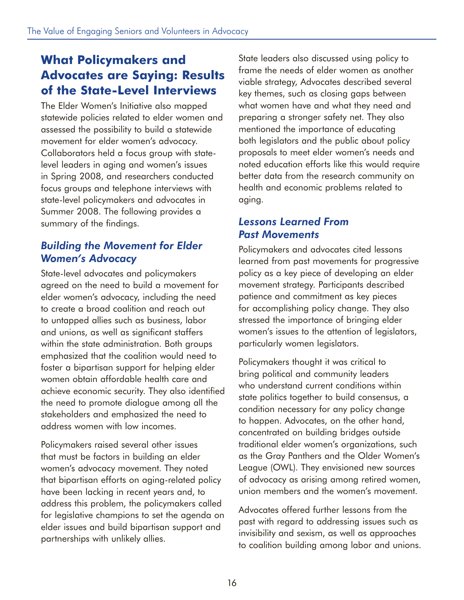## **What Policymakers and Advocates are Saying: Results of the State-Level Interviews**

The Elder Women's Initiative also mapped statewide policies related to elder women and assessed the possibility to build a statewide movement for elder women's advocacy. Collaborators held a focus group with statelevel leaders in aging and women's issues in Spring 2008, and researchers conducted focus groups and telephone interviews with state-level policymakers and advocates in Summer 2008. The following provides a summary of the findings.

### *Building the Movement for Elder Women's Advocacy*

State-level advocates and policymakers agreed on the need to build a movement for elder women's advocacy, including the need to create a broad coalition and reach out to untapped allies such as business, labor and unions, as well as significant staffers within the state administration. Both groups emphasized that the coalition would need to foster a bipartisan support for helping elder women obtain affordable health care and achieve economic security. They also identified the need to promote dialogue among all the stakeholders and emphasized the need to address women with low incomes.

Policymakers raised several other issues that must be factors in building an elder women's advocacy movement. They noted that bipartisan efforts on aging-related policy have been lacking in recent years and, to address this problem, the policymakers called for legislative champions to set the agenda on elder issues and build bipartisan support and partnerships with unlikely allies.

State leaders also discussed using policy to frame the needs of elder women as another viable strategy, Advocates described several key themes, such as closing gaps between what women have and what they need and preparing a stronger safety net. They also mentioned the importance of educating both legislators and the public about policy proposals to meet elder women's needs and noted education efforts like this would require better data from the research community on health and economic problems related to aging.

### *Lessons Learned From Past Movements*

Policymakers and advocates cited lessons learned from past movements for progressive policy as a key piece of developing an elder movement strategy. Participants described patience and commitment as key pieces for accomplishing policy change. They also stressed the importance of bringing elder women's issues to the attention of legislators, particularly women legislators.

Policymakers thought it was critical to bring political and community leaders who understand current conditions within state politics together to build consensus, a condition necessary for any policy change to happen. Advocates, on the other hand, concentrated on building bridges outside traditional elder women's organizations, such as the Gray Panthers and the Older Women's League (OWL). They envisioned new sources of advocacy as arising among retired women, union members and the women's movement.

Advocates offered further lessons from the past with regard to addressing issues such as invisibility and sexism, as well as approaches to coalition building among labor and unions.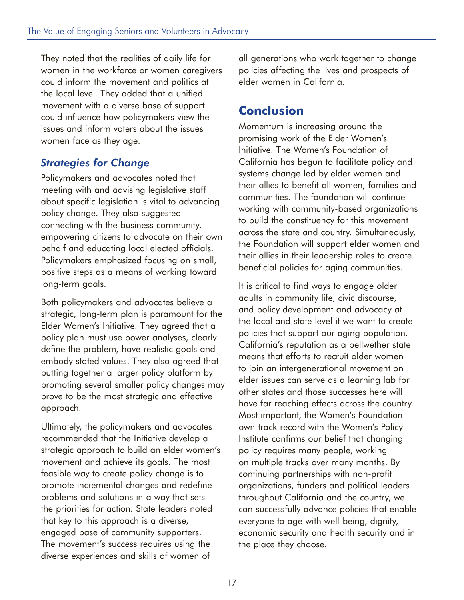They noted that the realities of daily life for women in the workforce or women caregivers could inform the movement and politics at the local level. They added that a unified movement with a diverse base of support could influence how policymakers view the issues and inform voters about the issues women face as they age.

#### *Strategies for Change*

Policymakers and advocates noted that meeting with and advising legislative staff about specific legislation is vital to advancing policy change. They also suggested connecting with the business community, empowering citizens to advocate on their own behalf and educating local elected officials. Policymakers emphasized focusing on small, positive steps as a means of working toward long-term goals.

Both policymakers and advocates believe a strategic, long-term plan is paramount for the Elder Women's Initiative. They agreed that a policy plan must use power analyses, clearly define the problem, have realistic goals and embody stated values. They also agreed that putting together a larger policy platform by promoting several smaller policy changes may prove to be the most strategic and effective approach.

Ultimately, the policymakers and advocates recommended that the Initiative develop a strategic approach to build an elder women's movement and achieve its goals. The most feasible way to create policy change is to promote incremental changes and redefine problems and solutions in a way that sets the priorities for action. State leaders noted that key to this approach is a diverse, engaged base of community supporters. The movement's success requires using the diverse experiences and skills of women of

all generations who work together to change policies affecting the lives and prospects of elder women in California.

### **Conclusion**

Momentum is increasing around the promising work of the Elder Women's Initiative. The Women's Foundation of California has begun to facilitate policy and systems change led by elder women and their allies to benefit all women, families and communities. The foundation will continue working with community-based organizations to build the constituency for this movement across the state and country. Simultaneously, the Foundation will support elder women and their allies in their leadership roles to create beneficial policies for aging communities.

It is critical to find ways to engage older adults in community life, civic discourse, and policy development and advocacy at the local and state level it we want to create policies that support our aging population. California's reputation as a bellwether state means that efforts to recruit older women to join an intergenerational movement on elder issues can serve as a learning lab for other states and those successes here will have far reaching effects across the country. Most important, the Women's Foundation own track record with the Women's Policy Institute confirms our belief that changing policy requires many people, working on multiple tracks over many months. By continuing partnerships with non-profit organizations, funders and political leaders throughout California and the country, we can successfully advance policies that enable everyone to age with well-being, dignity, economic security and health security and in the place they choose.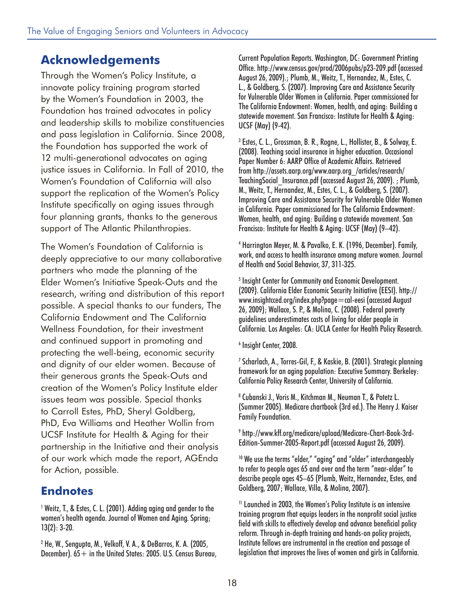### **Acknowledgements**

Through the Women's Policy Institute, a innovate policy training program started by the Women's Foundation in 2003, the Foundation has trained advocates in policy and leadership skills to mobilize constituencies and pass legislation in California. Since 2008, the Foundation has supported the work of 12 multi-generational advocates on aging justice issues in California. In Fall of 2010, the Women's Foundation of California will also support the replication of the Women's Policy Institute specifically on aging issues through four planning grants, thanks to the generous support of The Atlantic Philanthropies.

The Women's Foundation of California is deeply appreciative to our many collaborative partners who made the planning of the Elder Women's Initiative Speak-Outs and the research, writing and distribution of this report possible. A special thanks to our funders, The California Endowment and The California Wellness Foundation, for their investment and continued support in promoting and protecting the well-being, economic security and dignity of our elder women. Because of their generous grants the Speak-Outs and creation of the Women's Policy Institute elder issues team was possible. Special thanks to Carroll Estes, PhD, Sheryl Goldberg, PhD, Eva Williams and Heather Wollin from UCSF Institute for Health & Aging for their partnership in the Initiative and their analysis of our work which made the report, AGEnda for Action, possible.

### **Endnotes**

1 Weitz, T., & Estes, C. L. (2001). Adding aging and gender to the women's health agenda. Journal of Women and Aging. Spring; 13(2): 3-20.

2 He, W., Sengupta, M., Velkoff, V. A., & DeBarros, K. A. (2005, December).  $65+$  in the United States: 2005. U.S. Census Bureau, Current Population Reports. Washington, DC: Government Printing Office. http://www.census.gov/prod/2006pubs/p23-209.pdf (accessed August 26, 2009).; Plumb, M., Weitz, T., Hernandez, M., Estes, C. L., & Goldberg, S. (2007). Improving Care and Assistance Security for Vulnerable Older Women in California. Paper commissioned for The California Endowment: Women, health, and aging: Building a statewide movement. San Francisco: Institute for Health & Aging: UCSF (May) (9-42).

3 Estes, C. L., Grossman, B. R., Rogne, L., Hollister, B., & Solway, E. (2008). Teaching social insurance in higher education. Occasional Paper Number 6: AARP Office of Academic Affairs. Retrieved from http://assets.aarp.org/www.aarp.org\_/articles/research/ TeachingSocial\_Insurance.pdf (accessed August 26, 2009). ; Plumb, M., Weitz, T., Hernandez, M., Estes, C. L., & Goldberg, S. (2007). Improving Care and Assistance Security for Vulnerable Older Women in California. Paper commissioned for The California Endowment: Women, health, and aging: Building a statewide movement. San Francisco: Institute for Health & Aging: UCSF (May) (9–42).

4 Harrington Meyer, M. & Pavalko, E. K. (1996, December). Family, work, and access to health insurance among mature women. Journal of Health and Social Behavior, 37, 311-325.

5 Insight Center for Community and Economic Development. (2009). California Elder Economic Security Initiative (EESI). http:// www.insightcced.org/index.php?page=cal-eesi (accessed August 26, 2009); Wallace, S. P., & Molina, C. (2008). Federal poverty guidelines underestimates costs of living for older people in California. Los Angeles: CA: UCLA Center for Health Policy Research.

6 Insight Center, 2008.

<sup>7</sup> Scharlach, A., Torres-Gil, F., & Kaskie, B. (2001). Strategic planning framework for an aging population: Executive Summary. Berkeley: California Policy Research Center, University of California.

8 Cubanski J., Voris M., Kitchman M., Neuman T., & Potetz L. (Summer 2005). Medicare chartbook (3rd ed.). The Henry J. Kaiser Family Foundation.

9 http://www.kff.org/medicare/upload/Medicare-Chart-Book-3rd-Edition-Summer-2005-Report.pdf (accessed August 26, 2009).

<sup>10</sup> We use the terms "elder," "aging" and "older" interchangeably to refer to people ages 65 and over and the term "near-elder" to describe people ages 45–65 (Plumb, Weitz, Hernandez, Estes, and Goldberg, 2007; Wallace, Villa, & Molina, 2007).

11 Launched in 2003, the Women's Policy Institute is an intensive training program that equips leaders in the nonprofit social justice field with skills to effectively develop and advance beneficial policy reform. Through in-depth training and hands-on policy projects, Institute fellows are instrumental in the creation and passage of legislation that improves the lives of women and girls in California.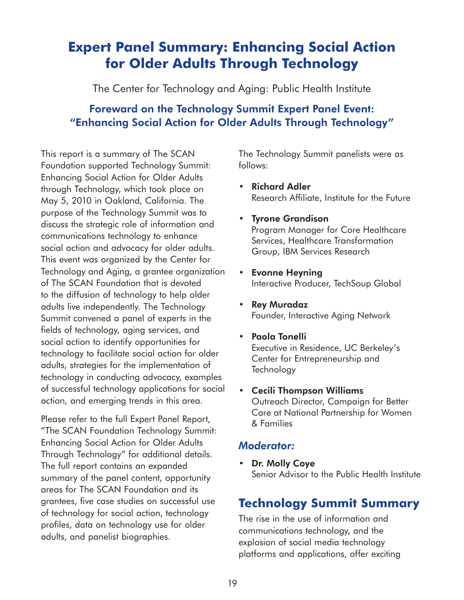## **Expert Panel Summary: Enhancing Social Action for Older Adults Through Technology**

The Center for Technology and Aging: Public Health Institute

### Foreward on the Technology Summit Expert Panel Event: "Enhancing Social Action for Older Adults Through Technology"

This report is a summary of The SCAN Foundation supported Technology Summit: Enhancing Social Action for Older Adults through Technology, which took place on May 5, 2010 in Oakland, California. The purpose of the Technology Summit was to discuss the strategic role of information and communications technology to enhance social action and advocacy for older adults. This event was organized by the Center for Technology and Aging, a grantee organization of The SCAN Foundation that is devoted to the diffusion of technology to help older adults live independently. The Technology Summit convened a panel of experts in the fields of technology, aging services, and social action to identify opportunities for technology to facilitate social action for older adults, strategies for the implementation of technology in conducting advocacy, examples of successful technology applications for social action, and emerging trends in this area.

Please refer to the full Expert Panel Report, "The SCAN Foundation Technology Summit: Enhancing Social Action for Older Adults Through Technology" for additional details. The full report contains an expanded summary of the panel content, opportunity areas for The SCAN Foundation and its grantees, five case studies on successful use of technology for social action, technology profiles, data on technology use for older adults, and panelist biographies.

The Technology Summit panelists were as follows:

- Richard Adler Research Affiliate, Institute for the Future
- Tyrone Grandison Program Manager for Core Healthcare Services, Healthcare Transformation Group, IBM Services Research
- Evonne Heyning Interactive Producer, TechSoup Global
- Rey Muradaz Founder, Interactive Aging Network
- Paola Tonelli Executive in Residence, UC Berkeley's Center for Entrepreneurship and **Technology**
- Cecili Thompson Williams Outreach Director, Campaign for Better Care at National Partnership for Women & Families

#### *Moderator:*

• Dr. Molly Coye Senior Advisor to the Public Health Institute

### **Technology Summit Summary**

The rise in the use of information and communications technology, and the explosion of social media technology platforms and applications, offer exciting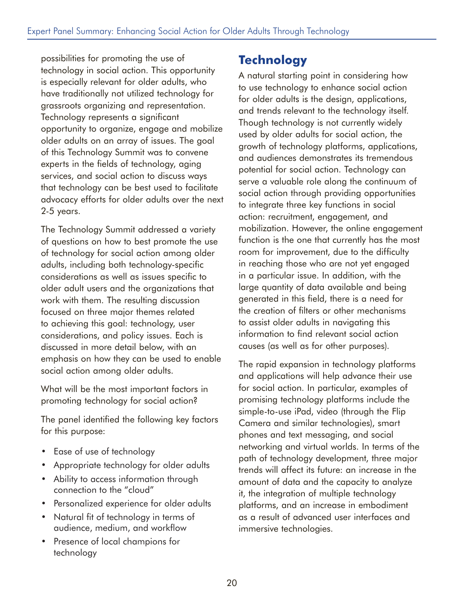possibilities for promoting the use of technology in social action. This opportunity is especially relevant for older adults, who have traditionally not utilized technology for grassroots organizing and representation. Technology represents a significant opportunity to organize, engage and mobilize older adults on an array of issues. The goal of this Technology Summit was to convene experts in the fields of technology, aging services, and social action to discuss ways that technology can be best used to facilitate advocacy efforts for older adults over the next 2-5 years.

The Technology Summit addressed a variety of questions on how to best promote the use of technology for social action among older adults, including both technology-specific considerations as well as issues specific to older adult users and the organizations that work with them. The resulting discussion focused on three major themes related to achieving this goal: technology, user considerations, and policy issues. Each is discussed in more detail below, with an emphasis on how they can be used to enable social action among older adults.

What will be the most important factors in promoting technology for social action?

The panel identified the following key factors for this purpose:

- Ease of use of technology
- Appropriate technology for older adults
- Ability to access information through connection to the "cloud"
- Personalized experience for older adults
- Natural fit of technology in terms of audience, medium, and workflow
- Presence of local champions for technology

## **Technology**

A natural starting point in considering how to use technology to enhance social action for older adults is the design, applications, and trends relevant to the technology itself. Though technology is not currently widely used by older adults for social action, the growth of technology platforms, applications, and audiences demonstrates its tremendous potential for social action. Technology can serve a valuable role along the continuum of social action through providing opportunities to integrate three key functions in social action: recruitment, engagement, and mobilization. However, the online engagement function is the one that currently has the most room for improvement, due to the difficulty in reaching those who are not yet engaged in a particular issue. In addition, with the large quantity of data available and being generated in this field, there is a need for the creation of filters or other mechanisms to assist older adults in navigating this information to find relevant social action causes (as well as for other purposes).

The rapid expansion in technology platforms and applications will help advance their use for social action. In particular, examples of promising technology platforms include the simple-to-use iPad, video (through the Flip Camera and similar technologies), smart phones and text messaging, and social networking and virtual worlds. In terms of the path of technology development, three major trends will affect its future: an increase in the amount of data and the capacity to analyze it, the integration of multiple technology platforms, and an increase in embodiment as a result of advanced user interfaces and immersive technologies.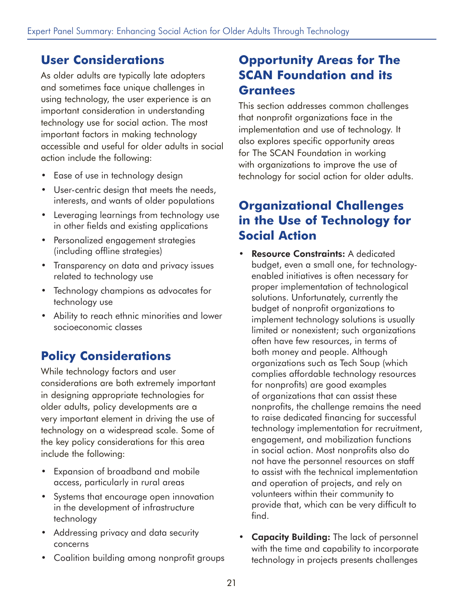## **User Considerations**

As older adults are typically late adopters and sometimes face unique challenges in using technology, the user experience is an important consideration in understanding technology use for social action. The most important factors in making technology accessible and useful for older adults in social action include the following:

- Ease of use in technology design
- User-centric design that meets the needs, interests, and wants of older populations
- Leveraging learnings from technology use in other fields and existing applications
- Personalized engagement strategies (including offline strategies)
- Transparency on data and privacy issues related to technology use
- Technology champions as advocates for technology use
- Ability to reach ethnic minorities and lower socioeconomic classes

## **Policy Considerations**

While technology factors and user considerations are both extremely important in designing appropriate technologies for older adults, policy developments are a very important element in driving the use of technology on a widespread scale. Some of the key policy considerations for this area include the following:

- Expansion of broadband and mobile access, particularly in rural areas
- Systems that encourage open innovation in the development of infrastructure technology
- Addressing privacy and data security concerns
- Coalition building among nonprofit groups

## **Opportunity Areas for The SCAN Foundation and its Grantees**

This section addresses common challenges that nonprofit organizations face in the implementation and use of technology. It also explores specific opportunity areas for The SCAN Foundation in working with organizations to improve the use of technology for social action for older adults.

## **Organizational Challenges in the Use of Technology for Social Action**

- **Resource Constraints: A dedicated** budget, even a small one, for technologyenabled initiatives is often necessary for proper implementation of technological solutions. Unfortunately, currently the budget of nonprofit organizations to implement technology solutions is usually limited or nonexistent; such organizations often have few resources, in terms of both money and people. Although organizations such as Tech Soup (which complies affordable technology resources for nonprofits) are good examples of organizations that can assist these nonprofits, the challenge remains the need to raise dedicated financing for successful technology implementation for recruitment, engagement, and mobilization functions in social action. Most nonprofits also do not have the personnel resources on staff to assist with the technical implementation and operation of projects, and rely on volunteers within their community to provide that, which can be very difficult to find.
- Capacity Building: The lack of personnel with the time and capability to incorporate technology in projects presents challenges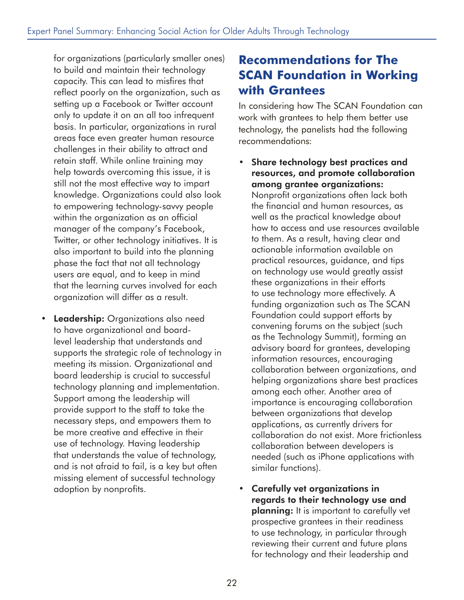for organizations (particularly smaller ones) to build and maintain their technology capacity. This can lead to misfires that reflect poorly on the organization, such as setting up a Facebook or Twitter account only to update it on an all too infrequent basis. In particular, organizations in rural areas face even greater human resource challenges in their ability to attract and retain staff. While online training may help towards overcoming this issue, it is still not the most effective way to impart knowledge. Organizations could also look to empowering technology-savvy people within the organization as an official manager of the company's Facebook, Twitter, or other technology initiatives. It is also important to build into the planning phase the fact that not all technology users are equal, and to keep in mind that the learning curves involved for each organization will differ as a result.

• Leadership: Organizations also need to have organizational and boardlevel leadership that understands and supports the strategic role of technology in meeting its mission. Organizational and board leadership is crucial to successful technology planning and implementation. Support among the leadership will provide support to the staff to take the necessary steps, and empowers them to be more creative and effective in their use of technology. Having leadership that understands the value of technology, and is not afraid to fail, is a key but often missing element of successful technology adoption by nonprofits.

## **Recommendations for The SCAN Foundation in Working with Grantees**

In considering how The SCAN Foundation can work with grantees to help them better use technology, the panelists had the following recommendations:

- Share technology best practices and resources, and promote collaboration among grantee organizations: Nonprofit organizations often lack both the financial and human resources, as well as the practical knowledge about how to access and use resources available to them. As a result, having clear and actionable information available on practical resources, guidance, and tips on technology use would greatly assist these organizations in their efforts to use technology more effectively. A funding organization such as The SCAN Foundation could support efforts by convening forums on the subject (such as the Technology Summit), forming an advisory board for grantees, developing information resources, encouraging collaboration between organizations, and helping organizations share best practices among each other. Another area of importance is encouraging collaboration between organizations that develop applications, as currently drivers for collaboration do not exist. More frictionless collaboration between developers is needed (such as iPhone applications with similar functions).
- Carefully vet organizations in regards to their technology use and planning: It is important to carefully vet prospective grantees in their readiness to use technology, in particular through reviewing their current and future plans for technology and their leadership and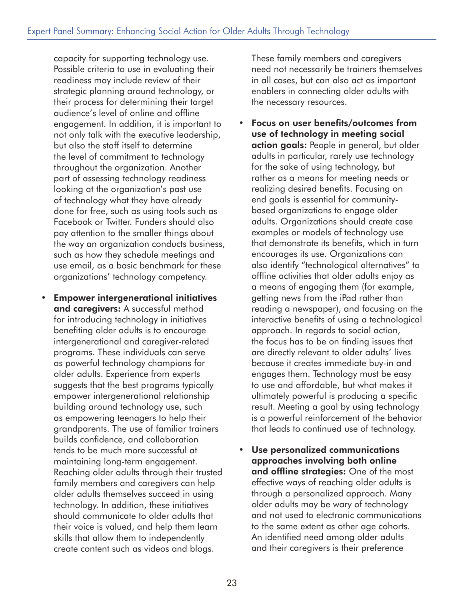capacity for supporting technology use. Possible criteria to use in evaluating their readiness may include review of their strategic planning around technology, or their process for determining their target audience's level of online and offline engagement. In addition, it is important to not only talk with the executive leadership, but also the staff itself to determine the level of commitment to technology throughout the organization. Another part of assessing technology readiness looking at the organization's past use of technology what they have already done for free, such as using tools such as Facebook or Twitter. Funders should also pay attention to the smaller things about the way an organization conducts business, such as how they schedule meetings and use email, as a basic benchmark for these organizations' technology competency.

• Empower intergenerational initiatives and caregivers: A successful method for introducing technology in initiatives benefiting older adults is to encourage intergenerational and caregiver-related programs. These individuals can serve as powerful technology champions for older adults. Experience from experts suggests that the best programs typically empower intergenerational relationship building around technology use, such as empowering teenagers to help their grandparents. The use of familiar trainers builds confidence, and collaboration tends to be much more successful at maintaining long-term engagement. Reaching older adults through their trusted family members and caregivers can help older adults themselves succeed in using technology. In addition, these initiatives should communicate to older adults that their voice is valued, and help them learn skills that allow them to independently create content such as videos and blogs.

These family members and caregivers need not necessarily be trainers themselves in all cases, but can also act as important enablers in connecting older adults with the necessary resources.

- Focus on user benefits/outcomes from use of technology in meeting social action goals: People in general, but older adults in particular, rarely use technology for the sake of using technology, but rather as a means for meeting needs or realizing desired benefits. Focusing on end goals is essential for communitybased organizations to engage older adults. Organizations should create case examples or models of technology use that demonstrate its benefits, which in turn encourages its use. Organizations can also identify "technological alternatives" to offline activities that older adults enjoy as a means of engaging them (for example, getting news from the iPad rather than reading a newspaper), and focusing on the interactive benefits of using a technological approach. In regards to social action, the focus has to be on finding issues that are directly relevant to older adults' lives because it creates immediate buy-in and engages them. Technology must be easy to use and affordable, but what makes it ultimately powerful is producing a specific result. Meeting a goal by using technology is a powerful reinforcement of the behavior that leads to continued use of technology.
- Use personalized communications approaches involving both online and offline strategies: One of the most effective ways of reaching older adults is through a personalized approach. Many older adults may be wary of technology and not used to electronic communications to the same extent as other age cohorts. An identified need among older adults and their caregivers is their preference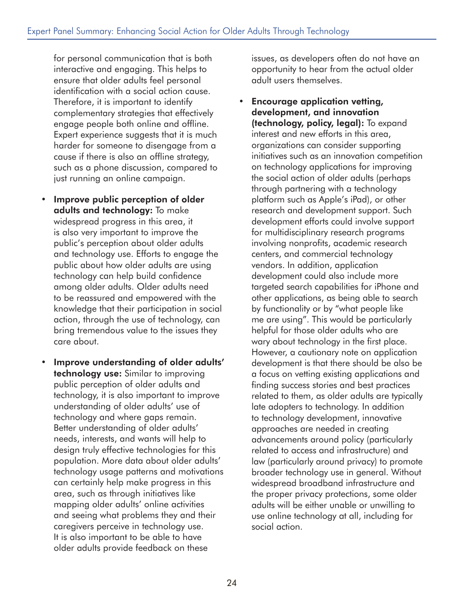for personal communication that is both interactive and engaging. This helps to ensure that older adults feel personal identification with a social action cause. Therefore, it is important to identify complementary strategies that effectively engage people both online and offline. Expert experience suggests that it is much harder for someone to disengage from a cause if there is also an offline strategy, such as a phone discussion, compared to just running an online campaign.

- Improve public perception of older adults and technology: To make widespread progress in this area, it is also very important to improve the public's perception about older adults and technology use. Efforts to engage the public about how older adults are using technology can help build confidence among older adults. Older adults need to be reassured and empowered with the knowledge that their participation in social action, through the use of technology, can bring tremendous value to the issues they care about.
- Improve understanding of older adults' technology use: Similar to improving public perception of older adults and technology, it is also important to improve understanding of older adults' use of technology and where gaps remain. Better understanding of older adults' needs, interests, and wants will help to design truly effective technologies for this population. More data about older adults' technology usage patterns and motivations can certainly help make progress in this area, such as through initiatives like mapping older adults' online activities and seeing what problems they and their caregivers perceive in technology use. It is also important to be able to have older adults provide feedback on these

issues, as developers often do not have an opportunity to hear from the actual older adult users themselves.

• Encourage application vetting, development, and innovation (technology, policy, legal): To expand interest and new efforts in this area, organizations can consider supporting initiatives such as an innovation competition on technology applications for improving the social action of older adults (perhaps through partnering with a technology platform such as Apple's iPad), or other research and development support. Such development efforts could involve support for multidisciplinary research programs involving nonprofits, academic research centers, and commercial technology vendors. In addition, application development could also include more targeted search capabilities for iPhone and other applications, as being able to search by functionality or by "what people like me are using". This would be particularly helpful for those older adults who are wary about technology in the first place. However, a cautionary note on application development is that there should be also be a focus on vetting existing applications and finding success stories and best practices related to them, as older adults are typically late adopters to technology. In addition to technology development, innovative approaches are needed in creating advancements around policy (particularly related to access and infrastructure) and law (particularly around privacy) to promote broader technology use in general. Without widespread broadband infrastructure and the proper privacy protections, some older adults will be either unable or unwilling to use online technology at all, including for social action.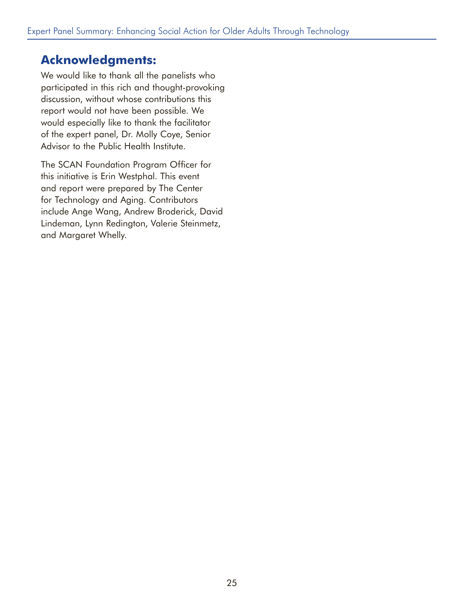### **Acknowledgments:**

We would like to thank all the panelists who participated in this rich and thought-provoking discussion, without whose contributions this report would not have been possible. We would especially like to thank the facilitator of the expert panel, Dr. Molly Coye, Senior Advisor to the Public Health Institute.

The SCAN Foundation Program Officer for this initiative is Erin Westphal. This event and report were prepared by The Center for Technology and Aging. Contributors include Ange Wang, Andrew Broderick, David Lindeman, Lynn Redington, Valerie Steinmetz, and Margaret Whelly.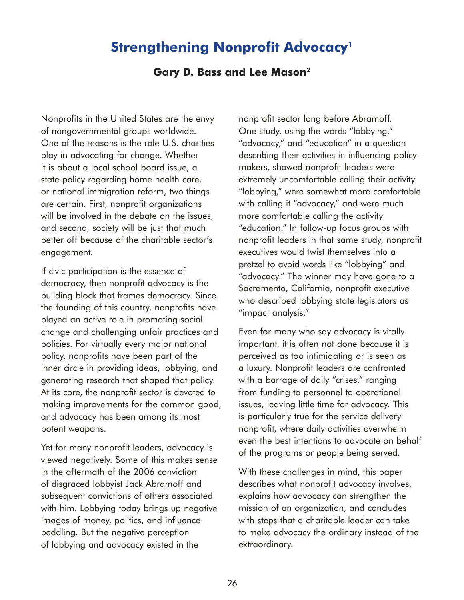### **Strengthening Nonprofit Advocacy<sup>1</sup>**

#### **Gary D. Bass and Lee Mason2**

Nonprofits in the United States are the envy of nongovernmental groups worldwide. One of the reasons is the role U.S. charities play in advocating for change. Whether it is about a local school board issue, a state policy regarding home health care, or national immigration reform, two things are certain. First, nonprofit organizations will be involved in the debate on the issues, and second, society will be just that much better off because of the charitable sector's engagement.

If civic participation is the essence of democracy, then nonprofit advocacy is the building block that frames democracy. Since the founding of this country, nonprofits have played an active role in promoting social change and challenging unfair practices and policies. For virtually every major national policy, nonprofits have been part of the inner circle in providing ideas, lobbying, and generating research that shaped that policy. At its core, the nonprofit sector is devoted to making improvements for the common good, and advocacy has been among its most potent weapons.

Yet for many nonprofit leaders, advocacy is viewed negatively. Some of this makes sense in the aftermath of the 2006 conviction of disgraced lobbyist Jack Abramoff and subsequent convictions of others associated with him. Lobbying today brings up negative images of money, politics, and influence peddling. But the negative perception of lobbying and advocacy existed in the

nonprofit sector long before Abramoff. One study, using the words "lobbying," "advocacy," and "education" in a question describing their activities in influencing policy makers, showed nonprofit leaders were extremely uncomfortable calling their activity "lobbying," were somewhat more comfortable with calling it "advocacy," and were much more comfortable calling the activity "education." In follow-up focus groups with nonprofit leaders in that same study, nonprofit executives would twist themselves into a pretzel to avoid words like "lobbying" and "advocacy." The winner may have gone to a Sacramento, California, nonprofit executive who described lobbying state legislators as "impact analysis."

Even for many who say advocacy is vitally important, it is often not done because it is perceived as too intimidating or is seen as a luxury. Nonprofit leaders are confronted with a barrage of daily "crises," ranging from funding to personnel to operational issues, leaving little time for advocacy. This is particularly true for the service delivery nonprofit, where daily activities overwhelm even the best intentions to advocate on behalf of the programs or people being served.

With these challenges in mind, this paper describes what nonprofit advocacy involves, explains how advocacy can strengthen the mission of an organization, and concludes with steps that a charitable leader can take to make advocacy the ordinary instead of the extraordinary.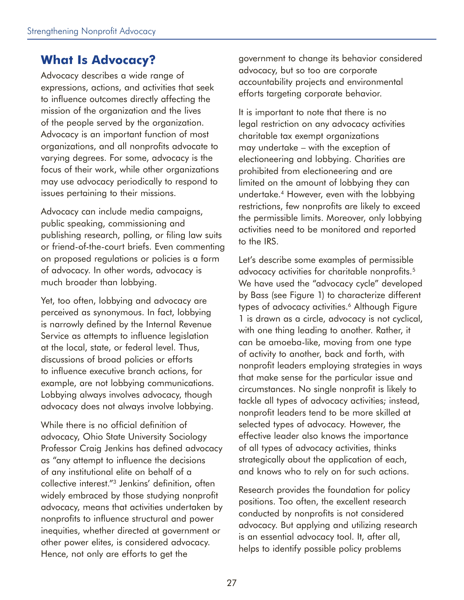### **What Is Advocacy?**

Advocacy describes a wide range of expressions, actions, and activities that seek to influence outcomes directly affecting the mission of the organization and the lives of the people served by the organization. Advocacy is an important function of most organizations, and all nonprofits advocate to varying degrees. For some, advocacy is the focus of their work, while other organizations may use advocacy periodically to respond to issues pertaining to their missions.

Advocacy can include media campaigns, public speaking, commissioning and publishing research, polling, or filing law suits or friend-of-the-court briefs. Even commenting on proposed regulations or policies is a form of advocacy. In other words, advocacy is much broader than lobbying.

Yet, too often, lobbying and advocacy are perceived as synonymous. In fact, lobbying is narrowly defined by the Internal Revenue Service as attempts to influence legislation at the local, state, or federal level. Thus, discussions of broad policies or efforts to influence executive branch actions, for example, are not lobbying communications. Lobbying always involves advocacy, though advocacy does not always involve lobbying.

While there is no official definition of advocacy, Ohio State University Sociology Professor Craig Jenkins has defined advocacy as "any attempt to influence the decisions of any institutional elite on behalf of a collective interest."3 Jenkins' definition, often widely embraced by those studying nonprofit advocacy, means that activities undertaken by nonprofits to influence structural and power inequities, whether directed at government or other power elites, is considered advocacy. Hence, not only are efforts to get the

government to change its behavior considered advocacy, but so too are corporate accountability projects and environmental efforts targeting corporate behavior.

It is important to note that there is no legal restriction on any advocacy activities charitable tax exempt organizations may undertake – with the exception of electioneering and lobbying. Charities are prohibited from electioneering and are limited on the amount of lobbying they can undertake.4 However, even with the lobbying restrictions, few nonprofits are likely to exceed the permissible limits. Moreover, only lobbying activities need to be monitored and reported to the IRS.

Let's describe some examples of permissible advocacy activities for charitable nonprofits.<sup>5</sup> We have used the "advocacy cycle" developed by Bass (see Figure 1) to characterize different types of advocacy activities.<sup>6</sup> Although Figure 1 is drawn as a circle, advocacy is not cyclical, with one thing leading to another. Rather, it can be amoeba-like, moving from one type of activity to another, back and forth, with nonprofit leaders employing strategies in ways that make sense for the particular issue and circumstances. No single nonprofit is likely to tackle all types of advocacy activities; instead, nonprofit leaders tend to be more skilled at selected types of advocacy. However, the effective leader also knows the importance of all types of advocacy activities, thinks strategically about the application of each, and knows who to rely on for such actions.

Research provides the foundation for policy positions. Too often, the excellent research conducted by nonprofits is not considered advocacy. But applying and utilizing research is an essential advocacy tool. It, after all, helps to identify possible policy problems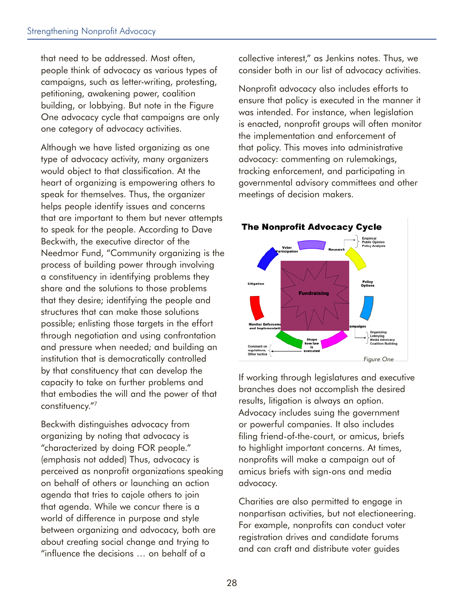that need to be addressed. Most often, people think of advocacy as various types of campaigns, such as letter-writing, protesting, petitioning, awakening power, coalition building, or lobbying. But note in the Figure One advocacy cycle that campaigns are only one category of advocacy activities.

Although we have listed organizing as one type of advocacy activity, many organizers would object to that classification. At the heart of organizing is empowering others to speak for themselves. Thus, the organizer helps people identify issues and concerns that are important to them but never attempts to speak for the people. According to Dave Beckwith, the executive director of the Needmor Fund, "Community organizing is the process of building power through involving a constituency in identifying problems they share and the solutions to those problems that they desire; identifying the people and structures that can make those solutions possible; enlisting those targets in the effort through negotiation and using confrontation and pressure when needed; and building an institution that is democratically controlled by that constituency that can develop the capacity to take on further problems and that embodies the will and the power of that constituency."7

Beckwith distinguishes advocacy from organizing by noting that advocacy is "characterized by doing FOR people." (emphasis not added) Thus, advocacy is perceived as nonprofit organizations speaking on behalf of others or launching an action agenda that tries to cajole others to join that agenda. While we concur there is a world of difference in purpose and style between organizing and advocacy, both are about creating social change and trying to "influence the decisions … on behalf of a

collective interest," as Jenkins notes. Thus, we consider both in our list of advocacy activities.

Nonprofit advocacy also includes efforts to ensure that policy is executed in the manner it was intended. For instance, when legislation is enacted, nonprofit groups will often monitor the implementation and enforcement of that policy. This moves into administrative advocacy: commenting on rulemakings, tracking enforcement, and participating in governmental advisory committees and other meetings of decision makers.



If working through legislatures and executive branches does not accomplish the desired results, litigation is always an option. Advocacy includes suing the government or powerful companies. It also includes filing friend-of-the-court, or amicus, briefs to highlight important concerns. At times, nonprofits will make a campaign out of amicus briefs with sign-ons and media advocacy.

Charities are also permitted to engage in nonpartisan activities, but not electioneering. For example, nonprofits can conduct voter registration drives and candidate forums and can craft and distribute voter guides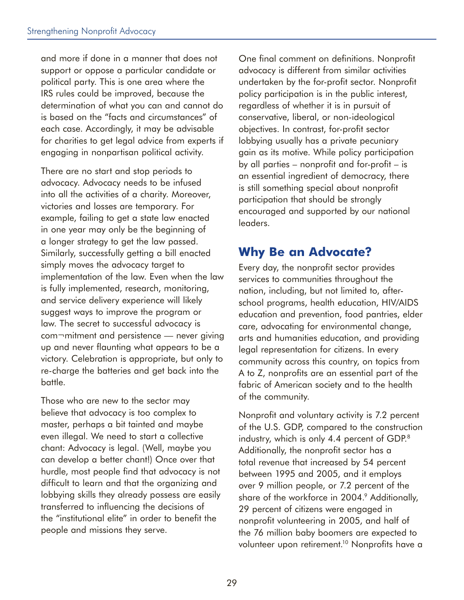and more if done in a manner that does not support or oppose a particular candidate or political party. This is one area where the IRS rules could be improved, because the determination of what you can and cannot do is based on the "facts and circumstances" of each case. Accordingly, it may be advisable for charities to get legal advice from experts if engaging in nonpartisan political activity.

There are no start and stop periods to advocacy. Advocacy needs to be infused into all the activities of a charity. Moreover, victories and losses are temporary. For example, failing to get a state law enacted in one year may only be the beginning of a longer strategy to get the law passed. Similarly, successfully getting a bill enacted simply moves the advocacy target to implementation of the law. Even when the law is fully implemented, research, monitoring, and service delivery experience will likely suggest ways to improve the program or law. The secret to successful advocacy is com¬mitment and persistence — never giving up and never flaunting what appears to be a victory. Celebration is appropriate, but only to re-charge the batteries and get back into the battle.

Those who are new to the sector may believe that advocacy is too complex to master, perhaps a bit tainted and maybe even illegal. We need to start a collective chant: Advocacy is legal. (Well, maybe you can develop a better chant!) Once over that hurdle, most people find that advocacy is not difficult to learn and that the organizing and lobbying skills they already possess are easily transferred to influencing the decisions of the "institutional elite" in order to benefit the people and missions they serve.

One final comment on definitions. Nonprofit advocacy is different from similar activities undertaken by the for-profit sector. Nonprofit policy participation is in the public interest, regardless of whether it is in pursuit of conservative, liberal, or non-ideological objectives. In contrast, for-profit sector lobbying usually has a private pecuniary gain as its motive. While policy participation by all parties – nonprofit and for-profit – is an essential ingredient of democracy, there is still something special about nonprofit participation that should be strongly encouraged and supported by our national leaders.

## **Why Be an Advocate?**

Every day, the nonprofit sector provides services to communities throughout the nation, including, but not limited to, afterschool programs, health education, HIV/AIDS education and prevention, food pantries, elder care, advocating for environmental change, arts and humanities education, and providing legal representation for citizens. In every community across this country, on topics from A to Z, nonprofits are an essential part of the fabric of American society and to the health of the community.

Nonprofit and voluntary activity is 7.2 percent of the U.S. GDP, compared to the construction industry, which is only 4.4 percent of GDP.<sup>8</sup> Additionally, the nonprofit sector has a total revenue that increased by 54 percent between 1995 and 2005, and it employs over 9 million people, or 7.2 percent of the share of the workforce in 2004.<sup>9</sup> Additionally, 29 percent of citizens were engaged in nonprofit volunteering in 2005, and half of the 76 million baby boomers are expected to volunteer upon retirement.<sup>10</sup> Nonprofits have a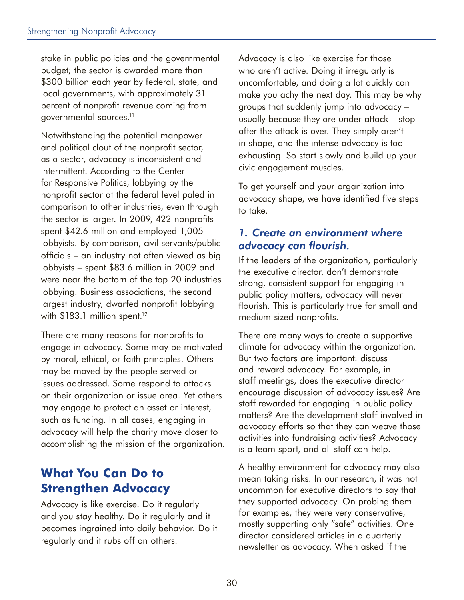stake in public policies and the governmental budget; the sector is awarded more than \$300 billion each year by federal, state, and local governments, with approximately 31 percent of nonprofit revenue coming from governmental sources.11

Notwithstanding the potential manpower and political clout of the nonprofit sector, as a sector, advocacy is inconsistent and intermittent. According to the Center for Responsive Politics, lobbying by the nonprofit sector at the federal level paled in comparison to other industries, even through the sector is larger. In 2009, 422 nonprofits spent \$42.6 million and employed 1,005 lobbyists. By comparison, civil servants/public officials – an industry not often viewed as big lobbyists – spent \$83.6 million in 2009 and were near the bottom of the top 20 industries lobbying. Business associations, the second largest industry, dwarfed nonprofit lobbying with  $$183.1$  million spent.<sup>12</sup>

There are many reasons for nonprofits to engage in advocacy. Some may be motivated by moral, ethical, or faith principles. Others may be moved by the people served or issues addressed. Some respond to attacks on their organization or issue area. Yet others may engage to protect an asset or interest, such as funding. In all cases, engaging in advocacy will help the charity move closer to accomplishing the mission of the organization.

### **What You Can Do to Strengthen Advocacy**

Advocacy is like exercise. Do it regularly and you stay healthy. Do it regularly and it becomes ingrained into daily behavior. Do it regularly and it rubs off on others.

Advocacy is also like exercise for those who aren't active. Doing it irregularly is uncomfortable, and doing a lot quickly can make you achy the next day. This may be why groups that suddenly jump into advocacy – usually because they are under attack – stop after the attack is over. They simply aren't in shape, and the intense advocacy is too exhausting. So start slowly and build up your civic engagement muscles.

To get yourself and your organization into advocacy shape, we have identified five steps to take.

#### *1. Create an environment where advocacy can flourish.*

If the leaders of the organization, particularly the executive director, don't demonstrate strong, consistent support for engaging in public policy matters, advocacy will never flourish. This is particularly true for small and medium-sized nonprofits.

There are many ways to create a supportive climate for advocacy within the organization. But two factors are important: discuss and reward advocacy. For example, in staff meetings, does the executive director encourage discussion of advocacy issues? Are staff rewarded for engaging in public policy matters? Are the development staff involved in advocacy efforts so that they can weave those activities into fundraising activities? Advocacy is a team sport, and all staff can help.

A healthy environment for advocacy may also mean taking risks. In our research, it was not uncommon for executive directors to say that they supported advocacy. On probing them for examples, they were very conservative, mostly supporting only "safe" activities. One director considered articles in a quarterly newsletter as advocacy. When asked if the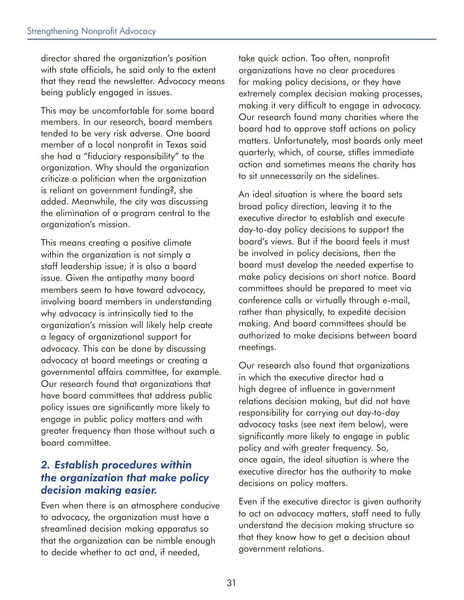director shared the organization's position with state officials, he said only to the extent that they read the newsletter. Advocacy means being publicly engaged in issues.

This may be uncomfortable for some board members. In our research, board members tended to be very risk adverse. One board member of a local nonprofit in Texas said she had a "fiduciary responsibility" to the organization. Why should the organization criticize a politician when the organization is reliant on government funding?, she added. Meanwhile, the city was discussing the elimination of a program central to the organization's mission.

This means creating a positive climate within the organization is not simply a staff leadership issue; it is also a board issue. Given the antipathy many board members seem to have toward advocacy, involving board members in understanding why advocacy is intrinsically tied to the organization's mission will likely help create a legacy of organizational support for advocacy. This can be done by discussing advocacy at board meetings or creating a governmental affairs committee, for example. Our research found that organizations that have board committees that address public policy issues are significantly more likely to engage in public policy matters and with greater frequency than those without such a board committee.

#### *2. Establish procedures within the organization that make policy decision making easier.*

Even when there is an atmosphere conducive to advocacy, the organization must have a streamlined decision making apparatus so that the organization can be nimble enough to decide whether to act and, if needed,

take quick action. Too often, nonprofit organizations have no clear procedures for making policy decisions, or they have extremely complex decision making processes, making it very difficult to engage in advocacy. Our research found many charities where the board had to approve staff actions on policy matters. Unfortunately, most boards only meet quarterly, which, of course, stifles immediate action and sometimes means the charity has to sit unnecessarily on the sidelines.

An ideal situation is where the board sets broad policy direction, leaving it to the executive director to establish and execute day-to-day policy decisions to support the board's views. But if the board feels it must be involved in policy decisions, then the board must develop the needed expertise to make policy decisions on short notice. Board committees should be prepared to meet via conference calls or virtually through e-mail, rather than physically, to expedite decision making. And board committees should be authorized to make decisions between board meetings.

Our research also found that organizations in which the executive director had a high degree of influence in government relations decision making, but did not have responsibility for carrying out day-to-day advocacy tasks (see next item below), were significantly more likely to engage in public policy and with greater frequency. So, once again, the ideal situation is where the executive director has the authority to make decisions on policy matters.

Even if the executive director is given authority to act on advocacy matters, staff need to fully understand the decision making structure so that they know how to get a decision about government relations.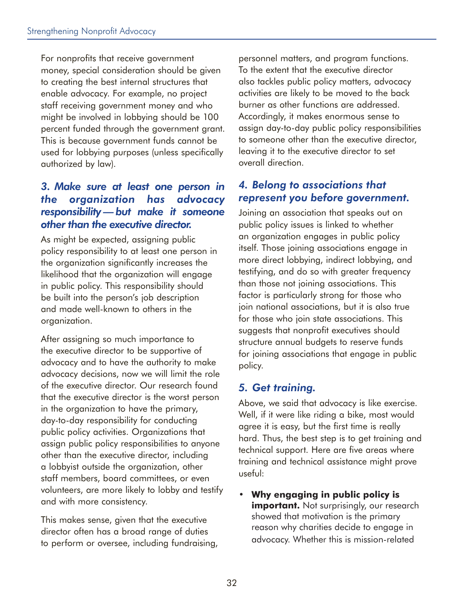For nonprofits that receive government money, special consideration should be given to creating the best internal structures that enable advocacy. For example, no project staff receiving government money and who might be involved in lobbying should be 100 percent funded through the government grant. This is because government funds cannot be used for lobbying purposes (unless specifically authorized by law).

#### *3. Make sure at least one person in the organization has advocacy responsibility — but make it someone other than the executive director.*

As might be expected, assigning public policy responsibility to at least one person in the organization significantly increases the likelihood that the organization will engage in public policy. This responsibility should be built into the person's job description and made well-known to others in the organization.

After assigning so much importance to the executive director to be supportive of advocacy and to have the authority to make advocacy decisions, now we will limit the role of the executive director. Our research found that the executive director is the worst person in the organization to have the primary, day-to-day responsibility for conducting public policy activities. Organizations that assign public policy responsibilities to anyone other than the executive director, including a lobbyist outside the organization, other staff members, board committees, or even volunteers, are more likely to lobby and testify and with more consistency.

This makes sense, given that the executive director often has a broad range of duties to perform or oversee, including fundraising, personnel matters, and program functions. To the extent that the executive director also tackles public policy matters, advocacy activities are likely to be moved to the back burner as other functions are addressed. Accordingly, it makes enormous sense to assign day-to-day public policy responsibilities to someone other than the executive director, leaving it to the executive director to set overall direction.

#### *4. Belong to associations that represent you before government.*

Joining an association that speaks out on public policy issues is linked to whether an organization engages in public policy itself. Those joining associations engage in more direct lobbying, indirect lobbying, and testifying, and do so with greater frequency than those not joining associations. This factor is particularly strong for those who join national associations, but it is also true for those who join state associations. This suggests that nonprofit executives should structure annual budgets to reserve funds for joining associations that engage in public policy.

### *5. Get training.*

Above, we said that advocacy is like exercise. Well, if it were like riding a bike, most would agree it is easy, but the first time is really hard. Thus, the best step is to get training and technical support. Here are five areas where training and technical assistance might prove useful:

• **Why engaging in public policy is important.** Not surprisingly, our research showed that motivation is the primary reason why charities decide to engage in advocacy. Whether this is mission-related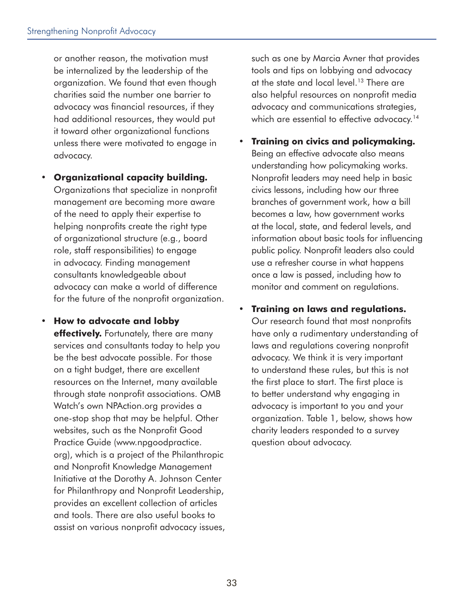or another reason, the motivation must be internalized by the leadership of the organization. We found that even though charities said the number one barrier to advocacy was financial resources, if they had additional resources, they would put it toward other organizational functions unless there were motivated to engage in advocacy.

#### • **Organizational capacity building.**

Organizations that specialize in nonprofit management are becoming more aware of the need to apply their expertise to helping nonprofits create the right type of organizational structure (e.g., board role, staff responsibilities) to engage in advocacy. Finding management consultants knowledgeable about advocacy can make a world of difference for the future of the nonprofit organization.

• **How to advocate and lobby effectively.** Fortunately, there are many services and consultants today to help you be the best advocate possible. For those on a tight budget, there are excellent resources on the Internet, many available through state nonprofit associations. OMB Watch's own NPAction.org provides a one-stop shop that may be helpful. Other websites, such as the Nonprofit Good Practice Guide (www.npgoodpractice. org), which is a project of the Philanthropic and Nonprofit Knowledge Management Initiative at the Dorothy A. Johnson Center for Philanthropy and Nonprofit Leadership, provides an excellent collection of articles and tools. There are also useful books to assist on various nonprofit advocacy issues,

such as one by Marcia Avner that provides tools and tips on lobbying and advocacy at the state and local level.<sup>13</sup> There are also helpful resources on nonprofit media advocacy and communications strategies, which are essential to effective advocacy.<sup>14</sup>

- **Training on civics and policymaking.**  Being an effective advocate also means understanding how policymaking works. Nonprofit leaders may need help in basic civics lessons, including how our three branches of government work, how a bill becomes a law, how government works at the local, state, and federal levels, and information about basic tools for influencing public policy. Nonprofit leaders also could use a refresher course in what happens once a law is passed, including how to monitor and comment on regulations.
- **Training on laws and regulations.**  Our research found that most nonprofits have only a rudimentary understanding of laws and regulations covering nonprofit advocacy. We think it is very important to understand these rules, but this is not the first place to start. The first place is to better understand why engaging in advocacy is important to you and your organization. Table 1, below, shows how charity leaders responded to a survey question about advocacy.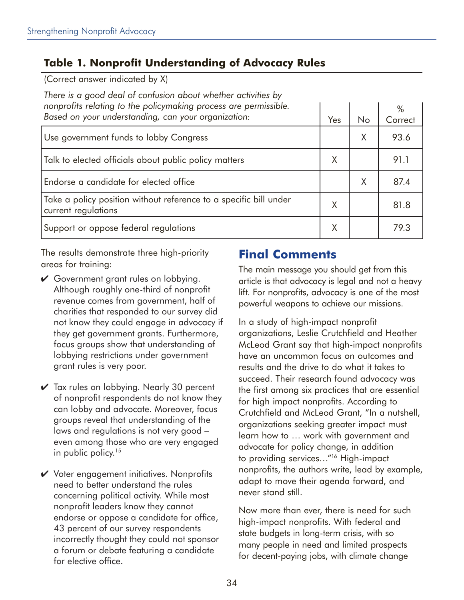### **Table 1. Nonprofit Understanding of Advocacy Rules**

(Correct answer indicated by X)

*There is a good deal of confusion about whether activities by nonprofits relating to the policymaking process are permissible.*  **Based on your understanding, can your organization:** 

| Based on your understanding, can your organization:                                      | Yes | No | Correct |
|------------------------------------------------------------------------------------------|-----|----|---------|
| Use government funds to lobby Congress                                                   |     | X  | 93.6    |
| Talk to elected officials about public policy matters                                    | Χ   |    | 91.1    |
| Endorse a candidate for elected office                                                   |     | X  | 87.4    |
| Take a policy position without reference to a specific bill under<br>current regulations | Χ   |    | 81.8    |
| Support or oppose federal regulations                                                    | Χ   |    | 79.3    |

The results demonstrate three high-priority areas for training:

- Government grant rules on lobbying. Although roughly one-third of nonprofit revenue comes from government, half of charities that responded to our survey did not know they could engage in advocacy if they get government grants. Furthermore, focus groups show that understanding of lobbying restrictions under government grant rules is very poor.
- $\vee$  Tax rules on lobbying. Nearly 30 percent of nonprofit respondents do not know they can lobby and advocate. Moreover, focus groups reveal that understanding of the laws and regulations is not very good – even among those who are very engaged in public policy.<sup>15</sup>
- $\vee$  Voter engagement initiatives. Nonprofits need to better understand the rules concerning political activity. While most nonprofit leaders know they cannot endorse or oppose a candidate for office, 43 percent of our survey respondents incorrectly thought they could not sponsor a forum or debate featuring a candidate for elective office.

### **Final Comments**

The main message you should get from this article is that advocacy is legal and not a heavy lift. For nonprofits, advocacy is one of the most powerful weapons to achieve our missions.

%

In a study of high-impact nonprofit organizations, Leslie Crutchfield and Heather McLeod Grant say that high-impact nonprofits have an uncommon focus on outcomes and results and the drive to do what it takes to succeed. Their research found advocacy was the first among six practices that are essential for high impact nonprofits. According to Crutchfield and McLeod Grant, "In a nutshell, organizations seeking greater impact must learn how to … work with government and advocate for policy change, in addition to providing services…"16 High-impact nonprofits, the authors write, lead by example, adapt to move their agenda forward, and never stand still.

Now more than ever, there is need for such high-impact nonprofits. With federal and state budgets in long-term crisis, with so many people in need and limited prospects for decent-paying jobs, with climate change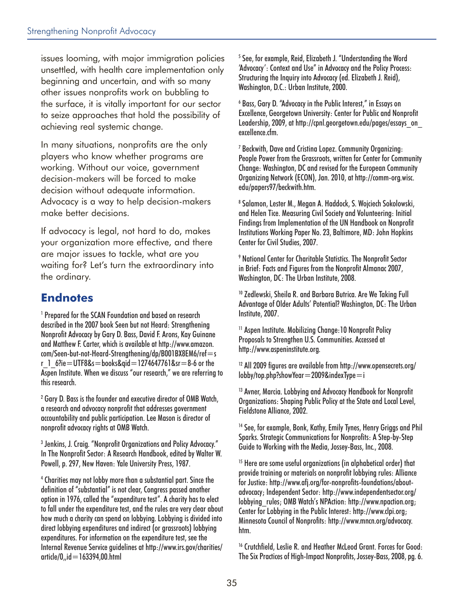issues looming, with major immigration policies unsettled, with health care implementation only beginning and uncertain, and with so many other issues nonprofits work on bubbling to the surface, it is vitally important for our sector to seize approaches that hold the possibility of achieving real systemic change.

In many situations, nonprofits are the only players who know whether programs are working. Without our voice, government decision-makers will be forced to make decision without adequate information. Advocacy is a way to help decision-makers make better decisions.

If advocacy is legal, not hard to do, makes your organization more effective, and there are major issues to tackle, what are you waiting for? Let's turn the extraordinary into the ordinary.

## **Endnotes**

1 Prepared for the SCAN Foundation and based on research described in the 2007 book Seen but not Heard: Strengthening Nonprofit Advocacy by Gary D. Bass, David F. Arons, Kay Guinane and Matthew F. Carter, which is available at http://www.amazon. com/Seen-but-not-Heard-Strengthening/dp/B001BX8EM6/ref=s r  $1.6$ ?ie = UTF8&s = books&qid = 1274647761&sr = 8-6 or the Aspen Institute. When we discuss "our research," we are referring to this research.

<sup>2</sup> Gary D. Bass is the founder and executive director of OMB Watch, a research and advocacy nonprofit that addresses government accountability and public participation. Lee Mason is director of nonprofit advocacy rights at OMB Watch.

3 Jenkins, J. Craig. "Nonprofit Organizations and Policy Advocacy." In The Nonprofit Sector: A Research Handbook, edited by Walter W. Powell, p. 297, New Haven: Yale University Press, 1987.

4 Charities may not lobby more than a substantial part. Since the definition of "substantial" is not clear, Congress passed another option in 1976, called the "expenditure test". A charity has to elect to fall under the expenditure test, and the rules are very clear about how much a charity can spend on lobbying. Lobbying is divided into direct lobbying expenditures and indirect (or grassroots) lobbying expenditures. For information on the expenditure test, see the Internal Revenue Service guidelines at http://www.irs.gov/charities/ article/0,,id=163394,00.html

<sup>5</sup> See, for example, Reid, Elizabeth J. "Understanding the Word 'Advocacy': Context and Use" in Advocacy and the Policy Process: Structuring the Inquiry into Advocacy (ed. Elizabeth J. Reid), Washington, D.C.: Urban Institute, 2000.

6 Bass, Gary D. "Advocacy in the Public Interest," in Essays on Excellence, Georgetown University: Center for Public and Nonprofit Leadership, 2009, at http://cpnl.georgetown.edu/pages/essays\_on\_ excellence.cfm.

7 Beckwith, Dave and Cristina Lopez. Community Organizing: People Power from the Grassroots, written for Center for Community Change: Washington, DC and revised for the European Community Organizing Network (ECON), Jan. 2010, at http://comm-org.wisc. edu/papers97/beckwith.htm.

8 Salamon, Lester M., Megan A. Haddock, S. Wojciech Sokolowski, and Helen Tice. Measuring Civil Society and Volunteering: Initial Findings from Implementation of the UN Handbook on Nonprofit Institutions Working Paper No. 23, Baltimore, MD: John Hopkins Center for Civil Studies, 2007.

9 National Center for Charitable Statistics. The Nonprofit Sector in Brief: Facts and Figures from the Nonprofit Almanac 2007, Washington, DC: The Urban Institute, 2008.

10 Zedlewski, Sheila R. and Barbara Butrica. Are We Taking Full Advantage of Older Adults' Potential? Washington, DC: The Urban Institute, 2007.

11 Aspen Institute. Mobilizing Change:10 Nonprofit Policy Proposals to Strengthen U.S. Communities. Accessed at http://www.aspeninstitute.org.

12 All 2009 figures are available from http://www.opensecrets.org/ lobby/top.php?showYear=2009&indexType=i

<sup>13</sup> Avner, Marcia. Lobbying and Advocacy Handbook for Nonprofit Organizations: Shaping Public Policy at the State and Local Level, Fieldstone Alliance, 2002.

<sup>14</sup> See, for example, Bonk, Kathy, Emily Tynes, Henry Griggs and Phil Sparks. Strategic Communications for Nonprofits: A Step-by-Step Guide to Working with the Media, Jossey-Bass, Inc., 2008.

<sup>15</sup> Here are some useful organizations (in alphabetical order) that provide training or materials on nonprofit lobbying rules: Alliance for Justice: http://www.afj.org/for-nonprofits-foundations/aboutadvocacy; Independent Sector: http://www.independentsector.org/ lobbying\_rules; OMB Watch's NPAction: http://www.npaction.org; Center for Lobbying in the Public Interest: http://www.clpi.org; Minnesota Council of Nonprofits: http://www.mncn.org/advocacy. htm.

<sup>16</sup> Crutchfield, Leslie R. and Heather McLeod Grant. Forces for Good: The Six Practices of High-Impact Nonprofits, Jossey-Bass, 2008, pg. 6.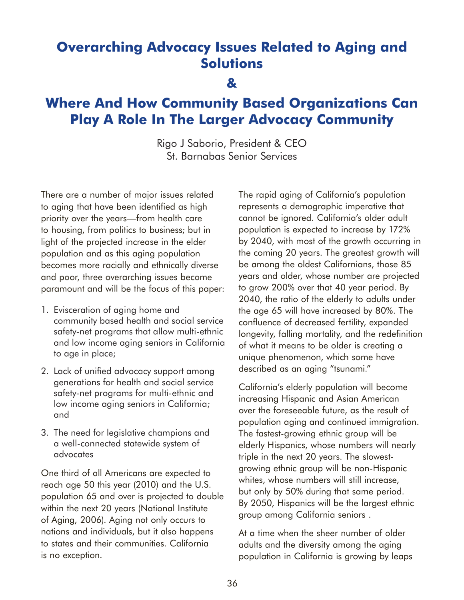## **Overarching Advocacy Issues Related to Aging and Solutions**

**&** 

## **Where And How Community Based Organizations Can Play A Role In The Larger Advocacy Community**

Rigo J Saborio, President & CEO St. Barnabas Senior Services

There are a number of major issues related to aging that have been identified as high priority over the years—from health care to housing, from politics to business; but in light of the projected increase in the elder population and as this aging population becomes more racially and ethnically diverse and poor, three overarching issues become paramount and will be the focus of this paper:

- 1. Evisceration of aging home and community based health and social service safety-net programs that allow multi-ethnic and low income aging seniors in California to age in place;
- 2. Lack of unified advocacy support among generations for health and social service safety-net programs for multi-ethnic and low income aging seniors in California; and
- 3. The need for legislative champions and a well-connected statewide system of advocates

One third of all Americans are expected to reach age 50 this year (2010) and the U.S. population 65 and over is projected to double within the next 20 years (National Institute of Aging, 2006). Aging not only occurs to nations and individuals, but it also happens to states and their communities. California is no exception.

The rapid aging of California's population represents a demographic imperative that cannot be ignored. California's older adult population is expected to increase by 172% by 2040, with most of the growth occurring in the coming 20 years. The greatest growth will be among the oldest Californians, those 85 years and older, whose number are projected to grow 200% over that 40 year period. By 2040, the ratio of the elderly to adults under the age 65 will have increased by 80%. The confluence of decreased fertility, expanded longevity, falling mortality, and the redefinition of what it means to be older is creating a unique phenomenon, which some have described as an aging "tsunami."

California's elderly population will become increasing Hispanic and Asian American over the foreseeable future, as the result of population aging and continued immigration. The fastest-growing ethnic group will be elderly Hispanics, whose numbers will nearly triple in the next 20 years. The slowestgrowing ethnic group will be non-Hispanic whites, whose numbers will still increase, but only by 50% during that same period. By 2050, Hispanics will be the largest ethnic group among California seniors .

At a time when the sheer number of older adults and the diversity among the aging population in California is growing by leaps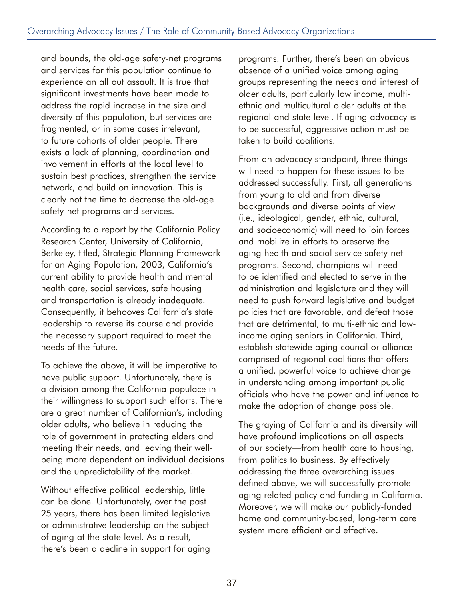and bounds, the old-age safety-net programs and services for this population continue to experience an all out assault. It is true that significant investments have been made to address the rapid increase in the size and diversity of this population, but services are fragmented, or in some cases irrelevant, to future cohorts of older people. There exists a lack of planning, coordination and involvement in efforts at the local level to sustain best practices, strengthen the service network, and build on innovation. This is clearly not the time to decrease the old-age safety-net programs and services.

According to a report by the California Policy Research Center, University of California, Berkeley, titled, Strategic Planning Framework for an Aging Population, 2003, California's current ability to provide health and mental health care, social services, safe housing and transportation is already inadequate. Consequently, it behooves California's state leadership to reverse its course and provide the necessary support required to meet the needs of the future.

To achieve the above, it will be imperative to have public support. Unfortunately, there is a division among the California populace in their willingness to support such efforts. There are a great number of Californian's, including older adults, who believe in reducing the role of government in protecting elders and meeting their needs, and leaving their wellbeing more dependent on individual decisions and the unpredictability of the market.

Without effective political leadership, little can be done. Unfortunately, over the past 25 years, there has been limited legislative or administrative leadership on the subject of aging at the state level. As a result, there's been a decline in support for aging programs. Further, there's been an obvious absence of a unified voice among aging groups representing the needs and interest of older adults, particularly low income, multiethnic and multicultural older adults at the regional and state level. If aging advocacy is to be successful, aggressive action must be taken to build coalitions.

From an advocacy standpoint, three things will need to happen for these issues to be addressed successfully. First, all generations from young to old and from diverse backgrounds and diverse points of view (i.e., ideological, gender, ethnic, cultural, and socioeconomic) will need to join forces and mobilize in efforts to preserve the aging health and social service safety-net programs. Second, champions will need to be identified and elected to serve in the administration and legislature and they will need to push forward legislative and budget policies that are favorable, and defeat those that are detrimental, to multi-ethnic and lowincome aging seniors in California. Third, establish statewide aging council or alliance comprised of regional coalitions that offers a unified, powerful voice to achieve change in understanding among important public officials who have the power and influence to make the adoption of change possible.

The graying of California and its diversity will have profound implications on all aspects of our society—from health care to housing, from politics to business. By effectively addressing the three overarching issues defined above, we will successfully promote aging related policy and funding in California. Moreover, we will make our publicly-funded home and community-based, long-term care system more efficient and effective.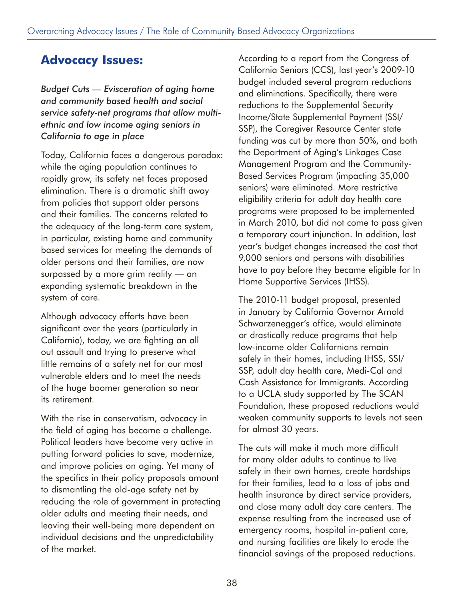## **Advocacy Issues:**

*Budget Cuts — Evisceration of aging home and community based health and social service safety-net programs that allow multiethnic and low income aging seniors in California to age in place* 

Today, California faces a dangerous paradox: while the aging population continues to rapidly grow, its safety net faces proposed elimination. There is a dramatic shift away from policies that support older persons and their families. The concerns related to the adequacy of the long-term care system, in particular, existing home and community based services for meeting the demands of older persons and their families, are now surpassed by a more grim reality — an expanding systematic breakdown in the system of care.

Although advocacy efforts have been significant over the years (particularly in California), today, we are fighting an all out assault and trying to preserve what little remains of a safety net for our most vulnerable elders and to meet the needs of the huge boomer generation so near its retirement.

With the rise in conservatism, advocacy in the field of aging has become a challenge. Political leaders have become very active in putting forward policies to save, modernize, and improve policies on aging. Yet many of the specifics in their policy proposals amount to dismantling the old-age safety net by reducing the role of government in protecting older adults and meeting their needs, and leaving their well-being more dependent on individual decisions and the unpredictability of the market.

According to a report from the Congress of California Seniors (CCS), last year's 2009-10 budget included several program reductions and eliminations. Specifically, there were reductions to the Supplemental Security Income/State Supplemental Payment (SSI/ SSP), the Caregiver Resource Center state funding was cut by more than 50%, and both the Department of Aging's Linkages Case Management Program and the Community-Based Services Program (impacting 35,000 seniors) were eliminated. More restrictive eligibility criteria for adult day health care programs were proposed to be implemented in March 2010, but did not come to pass given a temporary court injunction. In addition, last year's budget changes increased the cost that 9,000 seniors and persons with disabilities have to pay before they became eligible for In Home Supportive Services (IHSS).

The 2010-11 budget proposal, presented in January by California Governor Arnold Schwarzenegger's office, would eliminate or drastically reduce programs that help low-income older Californians remain safely in their homes, including IHSS, SSI/ SSP, adult day health care, Medi-Cal and Cash Assistance for Immigrants. According to a UCLA study supported by The SCAN Foundation, these proposed reductions would weaken community supports to levels not seen for almost 30 years.

The cuts will make it much more difficult for many older adults to continue to live safely in their own homes, create hardships for their families, lead to a loss of jobs and health insurance by direct service providers, and close many adult day care centers. The expense resulting from the increased use of emergency rooms, hospital in-patient care, and nursing facilities are likely to erode the financial savings of the proposed reductions.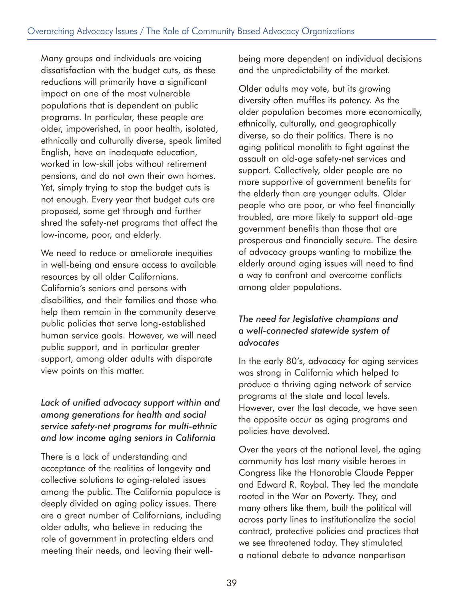Many groups and individuals are voicing dissatisfaction with the budget cuts, as these reductions will primarily have a significant impact on one of the most vulnerable populations that is dependent on public programs. In particular, these people are older, impoverished, in poor health, isolated, ethnically and culturally diverse, speak limited English, have an inadequate education, worked in low-skill jobs without retirement pensions, and do not own their own homes. Yet, simply trying to stop the budget cuts is not enough. Every year that budget cuts are proposed, some get through and further shred the safety-net programs that affect the low-income, poor, and elderly.

We need to reduce or ameliorate inequities in well-being and ensure access to available resources by all older Californians. California's seniors and persons with disabilities, and their families and those who help them remain in the community deserve public policies that serve long-established human service goals. However, we will need public support, and in particular greater support, among older adults with disparate view points on this matter.

#### *Lack of unified advocacy support within and among generations for health and social service safety-net programs for multi-ethnic and low income aging seniors in California*

There is a lack of understanding and acceptance of the realities of longevity and collective solutions to aging-related issues among the public. The California populace is deeply divided on aging policy issues. There are a great number of Californians, including older adults, who believe in reducing the role of government in protecting elders and meeting their needs, and leaving their wellbeing more dependent on individual decisions and the unpredictability of the market.

Older adults may vote, but its growing diversity often muffles its potency. As the older population becomes more economically, ethnically, culturally, and geographically diverse, so do their politics. There is no aging political monolith to fight against the assault on old-age safety-net services and support. Collectively, older people are no more supportive of government benefits for the elderly than are younger adults. Older people who are poor, or who feel financially troubled, are more likely to support old-age government benefits than those that are prosperous and financially secure. The desire of advocacy groups wanting to mobilize the elderly around aging issues will need to find a way to confront and overcome conflicts among older populations.

#### *The need for legislative champions and a well-connected statewide system of advocates*

In the early 80's, advocacy for aging services was strong in California which helped to produce a thriving aging network of service programs at the state and local levels. However, over the last decade, we have seen the opposite occur as aging programs and policies have devolved.

Over the years at the national level, the aging community has lost many visible heroes in Congress like the Honorable Claude Pepper and Edward R. Roybal. They led the mandate rooted in the War on Poverty. They, and many others like them, built the political will across party lines to institutionalize the social contract, protective policies and practices that we see threatened today. They stimulated a national debate to advance nonpartisan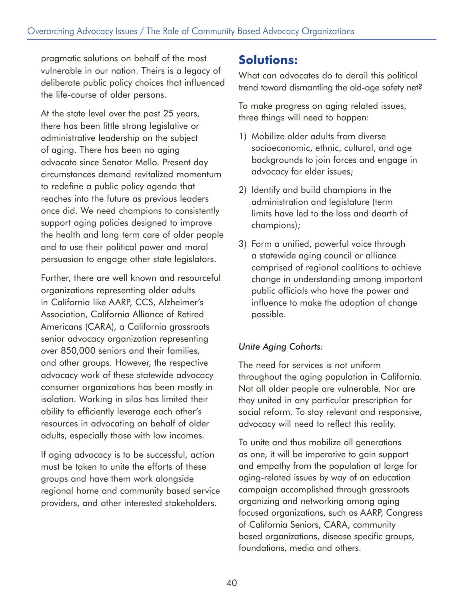pragmatic solutions on behalf of the most vulnerable in our nation. Theirs is a legacy of deliberate public policy choices that influenced the life-course of older persons.

At the state level over the past 25 years, there has been little strong legislative or administrative leadership on the subject of aging. There has been no aging advocate since Senator Mello. Present day circumstances demand revitalized momentum to redefine a public policy agenda that reaches into the future as previous leaders once did. We need champions to consistently support aging policies designed to improve the health and long term care of older people and to use their political power and moral persuasion to engage other state legislators.

Further, there are well known and resourceful organizations representing older adults in California like AARP, CCS, Alzheimer's Association, California Alliance of Retired Americans (CARA), a California grassroots senior advocacy organization representing over 850,000 seniors and their families, and other groups. However, the respective advocacy work of these statewide advocacy consumer organizations has been mostly in isolation. Working in silos has limited their ability to efficiently leverage each other's resources in advocating on behalf of older adults, especially those with low incomes.

If aging advocacy is to be successful, action must be taken to unite the efforts of these groups and have them work alongside regional home and community based service providers, and other interested stakeholders.

### **Solutions:**

What can advocates do to derail this political trend toward dismantling the old-age safety net?

To make progress on aging related issues, three things will need to happen:

- 1) Mobilize older adults from diverse socioeconomic, ethnic, cultural, and age backgrounds to join forces and engage in advocacy for elder issues;
- 2) Identify and build champions in the administration and legislature (term limits have led to the loss and dearth of champions);
- 3) Form a unified, powerful voice through a statewide aging council or alliance comprised of regional coalitions to achieve change in understanding among important public officials who have the power and influence to make the adoption of change possible.

#### *Unite Aging Cohorts:*

The need for services is not uniform throughout the aging population in California. Not all older people are vulnerable. Nor are they united in any particular prescription for social reform. To stay relevant and responsive, advocacy will need to reflect this reality.

To unite and thus mobilize all generations as one, it will be imperative to gain support and empathy from the population at large for aging-related issues by way of an education campaign accomplished through grassroots organizing and networking among aging focused organizations, such as AARP, Congress of California Seniors, CARA, community based organizations, disease specific groups, foundations, media and others.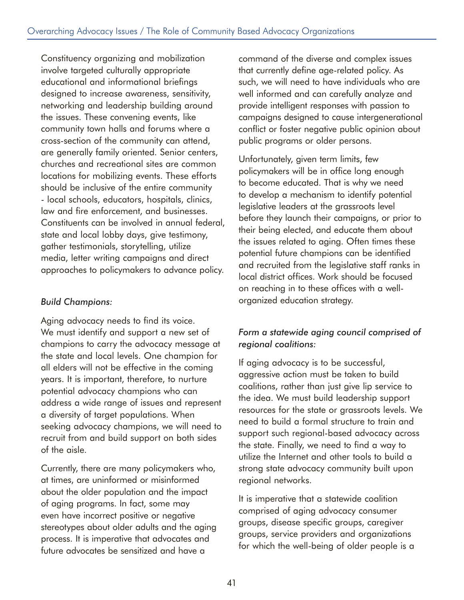Constituency organizing and mobilization involve targeted culturally appropriate educational and informational briefings designed to increase awareness, sensitivity, networking and leadership building around the issues. These convening events, like community town halls and forums where a cross-section of the community can attend, are generally family oriented. Senior centers, churches and recreational sites are common locations for mobilizing events. These efforts should be inclusive of the entire community - local schools, educators, hospitals, clinics, law and fire enforcement, and businesses. Constituents can be involved in annual federal, state and local lobby days, give testimony, gather testimonials, storytelling, utilize media, letter writing campaigns and direct approaches to policymakers to advance policy.

#### *Build Champions:*

Aging advocacy needs to find its voice. We must identify and support a new set of champions to carry the advocacy message at the state and local levels. One champion for all elders will not be effective in the coming years. It is important, therefore, to nurture potential advocacy champions who can address a wide range of issues and represent a diversity of target populations. When seeking advocacy champions, we will need to recruit from and build support on both sides of the aisle.

Currently, there are many policymakers who, at times, are uninformed or misinformed about the older population and the impact of aging programs. In fact, some may even have incorrect positive or negative stereotypes about older adults and the aging process. It is imperative that advocates and future advocates be sensitized and have a

command of the diverse and complex issues that currently define age-related policy. As such, we will need to have individuals who are well informed and can carefully analyze and provide intelligent responses with passion to campaigns designed to cause intergenerational conflict or foster negative public opinion about public programs or older persons.

Unfortunately, given term limits, few policymakers will be in office long enough to become educated. That is why we need to develop a mechanism to identify potential legislative leaders at the grassroots level before they launch their campaigns, or prior to their being elected, and educate them about the issues related to aging. Often times these potential future champions can be identified and recruited from the legislative staff ranks in local district offices. Work should be focused on reaching in to these offices with a wellorganized education strategy.

#### *Form a statewide aging council comprised of regional coalitions:*

If aging advocacy is to be successful, aggressive action must be taken to build coalitions, rather than just give lip service to the idea. We must build leadership support resources for the state or grassroots levels. We need to build a formal structure to train and support such regional-based advocacy across the state. Finally, we need to find a way to utilize the Internet and other tools to build a strong state advocacy community built upon regional networks.

It is imperative that a statewide coalition comprised of aging advocacy consumer groups, disease specific groups, caregiver groups, service providers and organizations for which the well-being of older people is a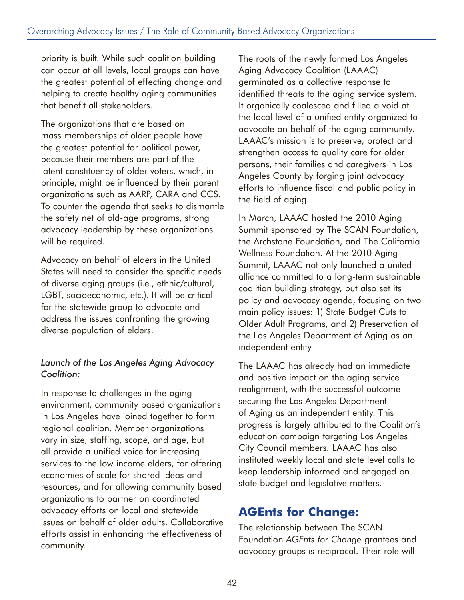priority is built. While such coalition building can occur at all levels, local groups can have the greatest potential of effecting change and helping to create healthy aging communities that benefit all stakeholders.

The organizations that are based on mass memberships of older people have the greatest potential for political power, because their members are part of the latent constituency of older voters, which, in principle, might be influenced by their parent organizations such as AARP, CARA and CCS. To counter the agenda that seeks to dismantle the safety net of old-age programs, strong advocacy leadership by these organizations will be required.

Advocacy on behalf of elders in the United States will need to consider the specific needs of diverse aging groups (i.e., ethnic/cultural, LGBT, socioeconomic, etc.). It will be critical for the statewide group to advocate and address the issues confronting the growing diverse population of elders.

#### *Launch of the Los Angeles Aging Advocacy Coalition:*

In response to challenges in the aging environment, community based organizations in Los Angeles have joined together to form regional coalition. Member organizations vary in size, staffing, scope, and age, but all provide a unified voice for increasing services to the low income elders, for offering economies of scale for shared ideas and resources, and for allowing community based organizations to partner on coordinated advocacy efforts on local and statewide issues on behalf of older adults. Collaborative efforts assist in enhancing the effectiveness of community.

The roots of the newly formed Los Angeles Aging Advocacy Coalition (LAAAC) germinated as a collective response to identified threats to the aging service system. It organically coalesced and filled a void at the local level of a unified entity organized to advocate on behalf of the aging community. LAAAC's mission is to preserve, protect and strengthen access to quality care for older persons, their families and caregivers in Los Angeles County by forging joint advocacy efforts to influence fiscal and public policy in the field of aging.

In March, LAAAC hosted the 2010 Aging Summit sponsored by The SCAN Foundation, the Archstone Foundation, and The California Wellness Foundation. At the 2010 Aging Summit, LAAAC not only launched a united alliance committed to a long-term sustainable coalition building strategy, but also set its policy and advocacy agenda, focusing on two main policy issues: 1) State Budget Cuts to Older Adult Programs, and 2) Preservation of the Los Angeles Department of Aging as an independent entity

The LAAAC has already had an immediate and positive impact on the aging service realignment, with the successful outcome securing the Los Angeles Department of Aging as an independent entity. This progress is largely attributed to the Coalition's education campaign targeting Los Angeles City Council members. LAAAC has also instituted weekly local and state level calls to keep leadership informed and engaged on state budget and legislative matters.

### **AGEnts for Change:**

The relationship between The SCAN Foundation *AGEnts for Change* grantees and advocacy groups is reciprocal. Their role will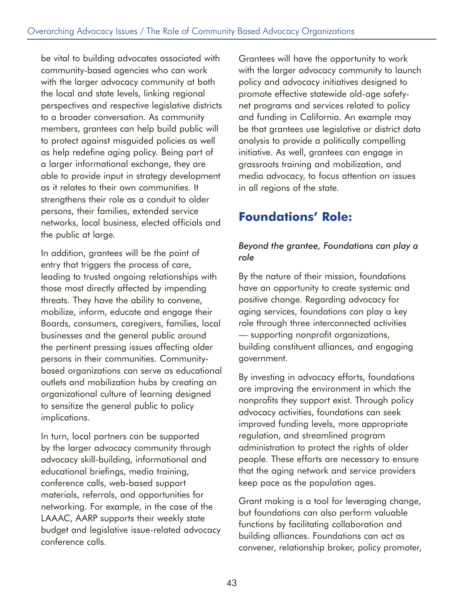be vital to building advocates associated with community-based agencies who can work with the larger advocacy community at both the local and state levels, linking regional perspectives and respective legislative districts to a broader conversation. As community members, grantees can help build public will to protect against misguided policies as well as help redefine aging policy. Being part of a larger informational exchange, they are able to provide input in strategy development as it relates to their own communities. It strengthens their role as a conduit to older persons, their families, extended service networks, local business, elected officials and the public at large.

In addition, grantees will be the point of entry that triggers the process of care, leading to trusted ongoing relationships with those most directly affected by impending threats. They have the ability to convene, mobilize, inform, educate and engage their Boards, consumers, caregivers, families, local businesses and the general public around the pertinent pressing issues affecting older persons in their communities. Communitybased organizations can serve as educational outlets and mobilization hubs by creating an organizational culture of learning designed to sensitize the general public to policy implications.

In turn, local partners can be supported by the larger advocacy community through advocacy skill-building, informational and educational briefings, media training, conference calls, web-based support materials, referrals, and opportunities for networking. For example, in the case of the LAAAC, AARP supports their weekly state budget and legislative issue-related advocacy conference calls.

Grantees will have the opportunity to work with the larger advocacy community to launch policy and advocacy initiatives designed to promote effective statewide old-age safetynet programs and services related to policy and funding in California. An example may be that grantees use legislative or district data analysis to provide a politically compelling initiative. As well, grantees can engage in grassroots training and mobilization, and media advocacy, to focus attention on issues in all regions of the state.

## **Foundations' Role:**

#### *Beyond the grantee, Foundations can play a role*

By the nature of their mission, foundations have an opportunity to create systemic and positive change. Regarding advocacy for aging services, foundations can play a key role through three interconnected activities — supporting nonprofit organizations, building constituent alliances, and engaging government.

By investing in advocacy efforts, foundations are improving the environment in which the nonprofits they support exist. Through policy advocacy activities, foundations can seek improved funding levels, more appropriate regulation, and streamlined program administration to protect the rights of older people. These efforts are necessary to ensure that the aging network and service providers keep pace as the population ages.

Grant making is a tool for leveraging change, but foundations can also perform valuable functions by facilitating collaboration and building alliances. Foundations can act as convener, relationship broker, policy promoter,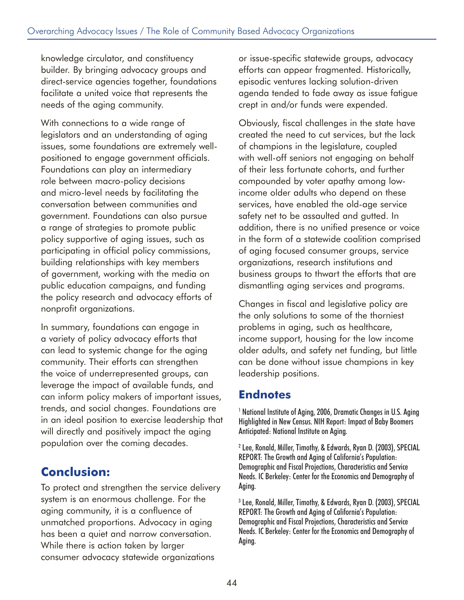knowledge circulator, and constituency builder. By bringing advocacy groups and direct-service agencies together, foundations facilitate a united voice that represents the needs of the aging community.

With connections to a wide range of legislators and an understanding of aging issues, some foundations are extremely wellpositioned to engage government officials. Foundations can play an intermediary role between macro-policy decisions and micro-level needs by facilitating the conversation between communities and government. Foundations can also pursue a range of strategies to promote public policy supportive of aging issues, such as participating in official policy commissions, building relationships with key members of government, working with the media on public education campaigns, and funding the policy research and advocacy efforts of nonprofit organizations.

In summary, foundations can engage in a variety of policy advocacy efforts that can lead to systemic change for the aging community. Their efforts can strengthen the voice of underrepresented groups, can leverage the impact of available funds, and can inform policy makers of important issues, trends, and social changes. Foundations are in an ideal position to exercise leadership that will directly and positively impact the aging population over the coming decades.

### **Conclusion:**

To protect and strengthen the service delivery system is an enormous challenge. For the aging community, it is a confluence of unmatched proportions. Advocacy in aging has been a quiet and narrow conversation. While there is action taken by larger consumer advocacy statewide organizations

or issue-specific statewide groups, advocacy efforts can appear fragmented. Historically, episodic ventures lacking solution-driven agenda tended to fade away as issue fatigue crept in and/or funds were expended.

Obviously, fiscal challenges in the state have created the need to cut services, but the lack of champions in the legislature, coupled with well-off seniors not engaging on behalf of their less fortunate cohorts, and further compounded by voter apathy among lowincome older adults who depend on these services, have enabled the old-age service safety net to be assaulted and gutted. In addition, there is no unified presence or voice in the form of a statewide coalition comprised of aging focused consumer groups, service organizations, research institutions and business groups to thwart the efforts that are dismantling aging services and programs.

Changes in fiscal and legislative policy are the only solutions to some of the thorniest problems in aging, such as healthcare, income support, housing for the low income older adults, and safety net funding, but little can be done without issue champions in key leadership positions.

### **Endnotes**

<sup>1</sup> National Institute of Aging, 2006, Dramatic Changes in U.S. Aging Highlighted in New Census. NIH Report: Impact of Baby Boomers Anticipated: National Institute on Aging.

2 Lee, Ronald, Miller, Timothy, & Edwards, Ryan D. (2003), SPECIAL REPORT: The Growth and Aging of California's Population: Demographic and Fiscal Projections, Characteristics and Service Needs. IC Berkeley: Center for the Economics and Demography of Aging.

3 Lee, Ronald, Miller, Timothy, & Edwards, Ryan D. (2003), SPECIAL REPORT: The Growth and Aging of California's Population: Demographic and Fiscal Projections, Characteristics and Service Needs. IC Berkeley: Center for the Economics and Demography of Aging.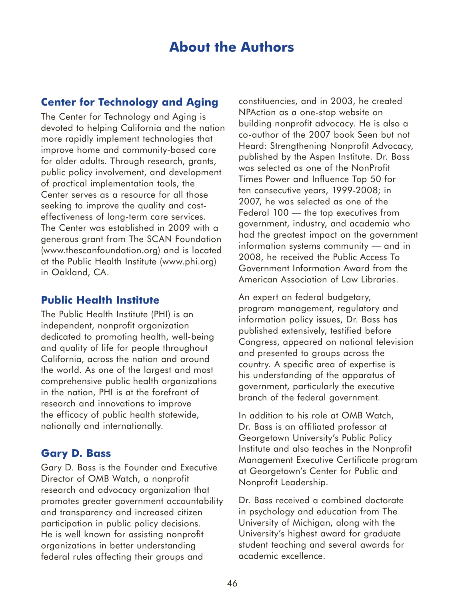## **About the Authors**

#### **Center for Technology and Aging**

The Center for Technology and Aging is devoted to helping California and the nation more rapidly implement technologies that improve home and community-based care for older adults. Through research, grants, public policy involvement, and development of practical implementation tools, the Center serves as a resource for all those seeking to improve the quality and costeffectiveness of long-term care services. The Center was established in 2009 with a generous grant from The SCAN Foundation (www.thescanfoundation.org) and is located at the Public Health Institute (www.phi.org) in Oakland, CA.

#### **Public Health Institute**

The Public Health Institute (PHI) is an independent, nonprofit organization dedicated to promoting health, well-being and quality of life for people throughout California, across the nation and around the world. As one of the largest and most comprehensive public health organizations in the nation, PHI is at the forefront of research and innovations to improve the efficacy of public health statewide, nationally and internationally.

#### **Gary D. Bass**

Gary D. Bass is the Founder and Executive Director of OMB Watch, a nonprofit research and advocacy organization that promotes greater government accountability and transparency and increased citizen participation in public policy decisions. He is well known for assisting nonprofit organizations in better understanding federal rules affecting their groups and

constituencies, and in 2003, he created NPAction as a one-stop website on building nonprofit advocacy. He is also a co-author of the 2007 book Seen but not Heard: Strengthening Nonprofit Advocacy, published by the Aspen Institute. Dr. Bass was selected as one of the NonProfit Times Power and Influence Top 50 for ten consecutive years, 1999-2008; in 2007, he was selected as one of the Federal 100 — the top executives from government, industry, and academia who had the greatest impact on the government information systems community — and in 2008, he received the Public Access To Government Information Award from the American Association of Law Libraries.

An expert on federal budgetary, program management, regulatory and information policy issues, Dr. Bass has published extensively, testified before Congress, appeared on national television and presented to groups across the country. A specific area of expertise is his understanding of the apparatus of government, particularly the executive branch of the federal government.

In addition to his role at OMB Watch, Dr. Bass is an affiliated professor at Georgetown University's Public Policy Institute and also teaches in the Nonprofit Management Executive Certificate program at Georgetown's Center for Public and Nonprofit Leadership.

Dr. Bass received a combined doctorate in psychology and education from The University of Michigan, along with the University's highest award for graduate student teaching and several awards for academic excellence.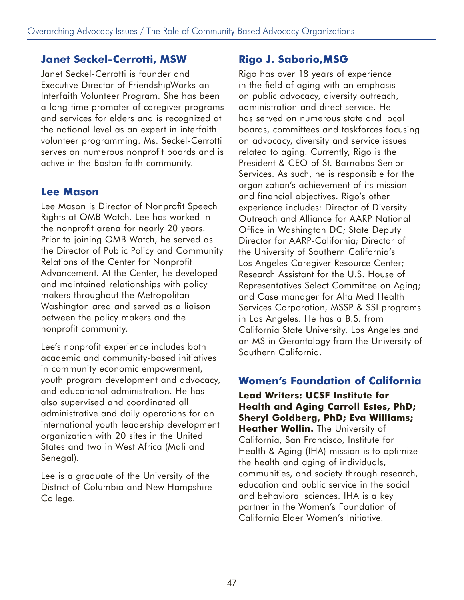#### **Janet Seckel-Cerrotti, MSW**

Janet Seckel-Cerrotti is founder and Executive Director of FriendshipWorks an Interfaith Volunteer Program. She has been a long-time promoter of caregiver programs and services for elders and is recognized at the national level as an expert in interfaith volunteer programming. Ms. Seckel-Cerrotti serves on numerous nonprofit boards and is active in the Boston faith community.

#### **Lee Mason**

Lee Mason is Director of Nonprofit Speech Rights at OMB Watch. Lee has worked in the nonprofit arena for nearly 20 years. Prior to joining OMB Watch, he served as the Director of Public Policy and Community Relations of the Center for Nonprofit Advancement. At the Center, he developed and maintained relationships with policy makers throughout the Metropolitan Washington area and served as a liaison between the policy makers and the nonprofit community.

Lee's nonprofit experience includes both academic and community-based initiatives in community economic empowerment, youth program development and advocacy, and educational administration. He has also supervised and coordinated all administrative and daily operations for an international youth leadership development organization with 20 sites in the United States and two in West Africa (Mali and Senegal).

Lee is a graduate of the University of the District of Columbia and New Hampshire College.

### **Rigo J. Saborio,MSG**

Rigo has over 18 years of experience in the field of aging with an emphasis on public advocacy, diversity outreach, administration and direct service. He has served on numerous state and local boards, committees and taskforces focusing on advocacy, diversity and service issues related to aging. Currently, Rigo is the President & CEO of St. Barnabas Senior Services. As such, he is responsible for the organization's achievement of its mission and financial objectives. Rigo's other experience includes: Director of Diversity Outreach and Alliance for AARP National Office in Washington DC; State Deputy Director for AARP-California; Director of the University of Southern California's Los Angeles Caregiver Resource Center; Research Assistant for the U.S. House of Representatives Select Committee on Aging; and Case manager for Alta Med Health Services Corporation, MSSP & SSI programs in Los Angeles. He has a B.S. from California State University, Los Angeles and an MS in Gerontology from the University of Southern California.

### **Women's Foundation of California**

**Lead Writers: UCSF Institute for Health and Aging Carroll Estes, PhD; Sheryl Goldberg, PhD; Eva Williams; Heather Wollin.** The University of California, San Francisco, Institute for Health & Aging (IHA) mission is to optimize the health and aging of individuals, communities, and society through research, education and public service in the social and behavioral sciences. IHA is a key partner in the Women's Foundation of California Elder Women's Initiative.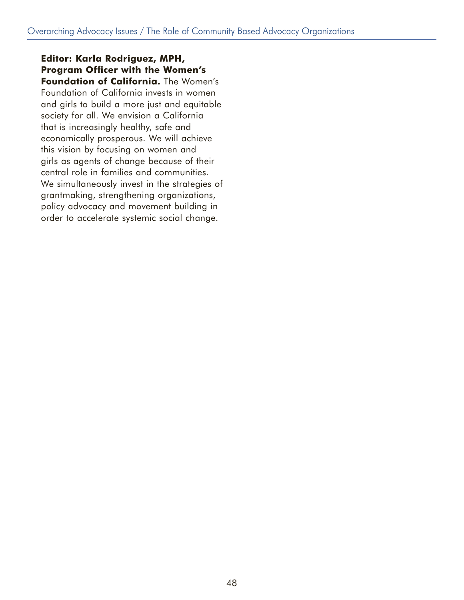**Editor: Karla Rodriguez, MPH, Program Officer with the Women's Foundation of California.** The Women's Foundation of California invests in women and girls to build a more just and equitable society for all. We envision a California that is increasingly healthy, safe and economically prosperous. We will achieve this vision by focusing on women and girls as agents of change because of their central role in families and communities. We simultaneously invest in the strategies of grantmaking, strengthening organizations, policy advocacy and movement building in order to accelerate systemic social change.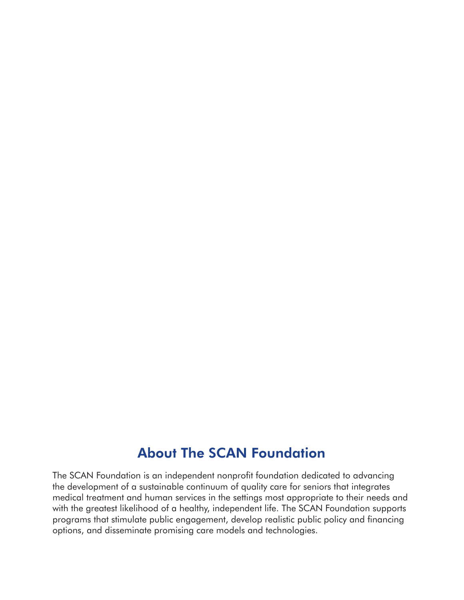## About The SCAN Foundation

The SCAN Foundation is an independent nonprofit foundation dedicated to advancing the development of a sustainable continuum of quality care for seniors that integrates medical treatment and human services in the settings most appropriate to their needs and with the greatest likelihood of a healthy, independent life. The SCAN Foundation supports programs that stimulate public engagement, develop realistic public policy and financing options, and disseminate promising care models and technologies.